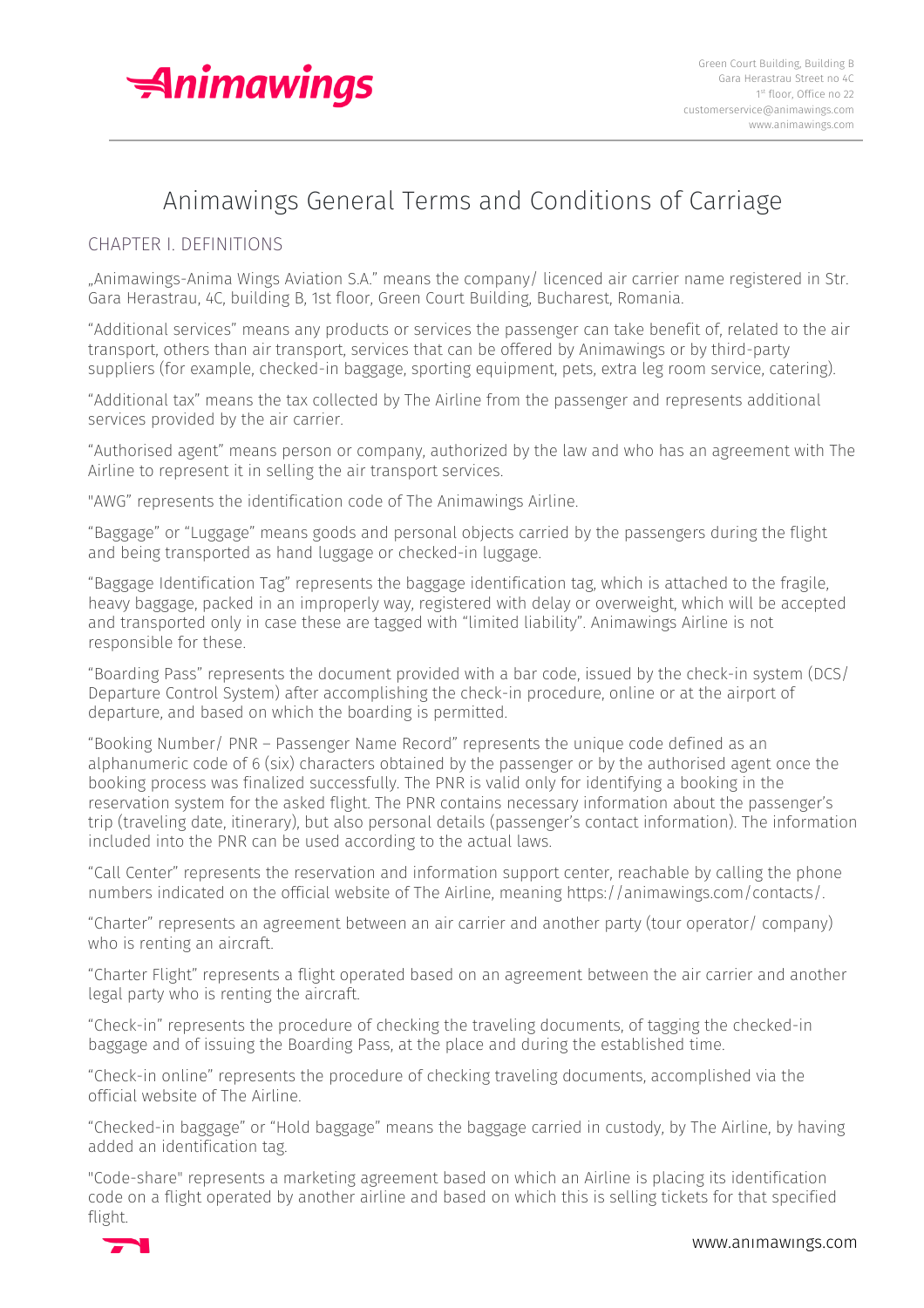

# Animawings General Terms and Conditions of Carriage

# CHAPTER I. DEFINITIONS

"Animawings-Anima Wings Aviation S.A." means the company/ licenced air carrier name registered in Str. Gara Herastrau, 4C, building B, 1st floor, Green Court Building, Bucharest, Romania.

"Additional services" means any products or services the passenger can take benefit of, related to the air transport, others than air transport, services that can be offered by Animawings or by third-party suppliers (for example, checked-in baggage, sporting equipment, pets, extra leg room service, catering).

"Additional tax" means the tax collected by The Airline from the passenger and represents additional services provided by the air carrier.

"Authorised agent" means person or company, authorized by the law and who has an agreement with The Airline to represent it in selling the air transport services.

"AWG" represents the identification code of The Animawings Airline.

"Baggage" or "Luggage" means goods and personal objects carried by the passengers during the flight and being transported as hand luggage or checked-in luggage.

"Baggage Identification Tag" represents the baggage identification tag, which is attached to the fragile, heavy baggage, packed in an improperly way, registered with delay or overweight, which will be accepted and transported only in case these are tagged with "limited liability". Animawings Airline is not responsible for these.

"Boarding Pass" represents the document provided with a bar code, issued by the check-in system (DCS/ Departure Control System) after accomplishing the check-in procedure, online or at the airport of departure, and based on which the boarding is permitted.

"Booking Number/ PNR – Passenger Name Record" represents the unique code defined as an alphanumeric code of 6 (six) characters obtained by the passenger or by the authorised agent once the booking process was finalized successfully. The PNR is valid only for identifying a booking in the reservation system for the asked flight. The PNR contains necessary information about the passenger's trip (traveling date, itinerary), but also personal details (passenger's contact information). The information included into the PNR can be used according to the actual laws.

"Call Center" represents the reservation and information support center, reachable by calling the phone numbers indicated on the official website of The Airline, meaning https://animawings.com/contacts/.

"Charter" represents an agreement between an air carrier and another party (tour operator/ company) who is renting an aircraft.

"Charter Flight" represents a flight operated based on an agreement between the air carrier and another legal party who is renting the aircraft.

"Check-in" represents the procedure of checking the traveling documents, of tagging the checked-in baggage and of issuing the Boarding Pass, at the place and during the established time.

"Check-in online" represents the procedure of checking traveling documents, accomplished via the official website of The Airline.

"Checked-in baggage" or "Hold baggage" means the baggage carried in custody, by The Airline, by having added an identification tag.

"Code-share" represents a marketing agreement based on which an Airline is placing its identification code on a flight operated by another airline and based on which this is selling tickets for that specified flight.

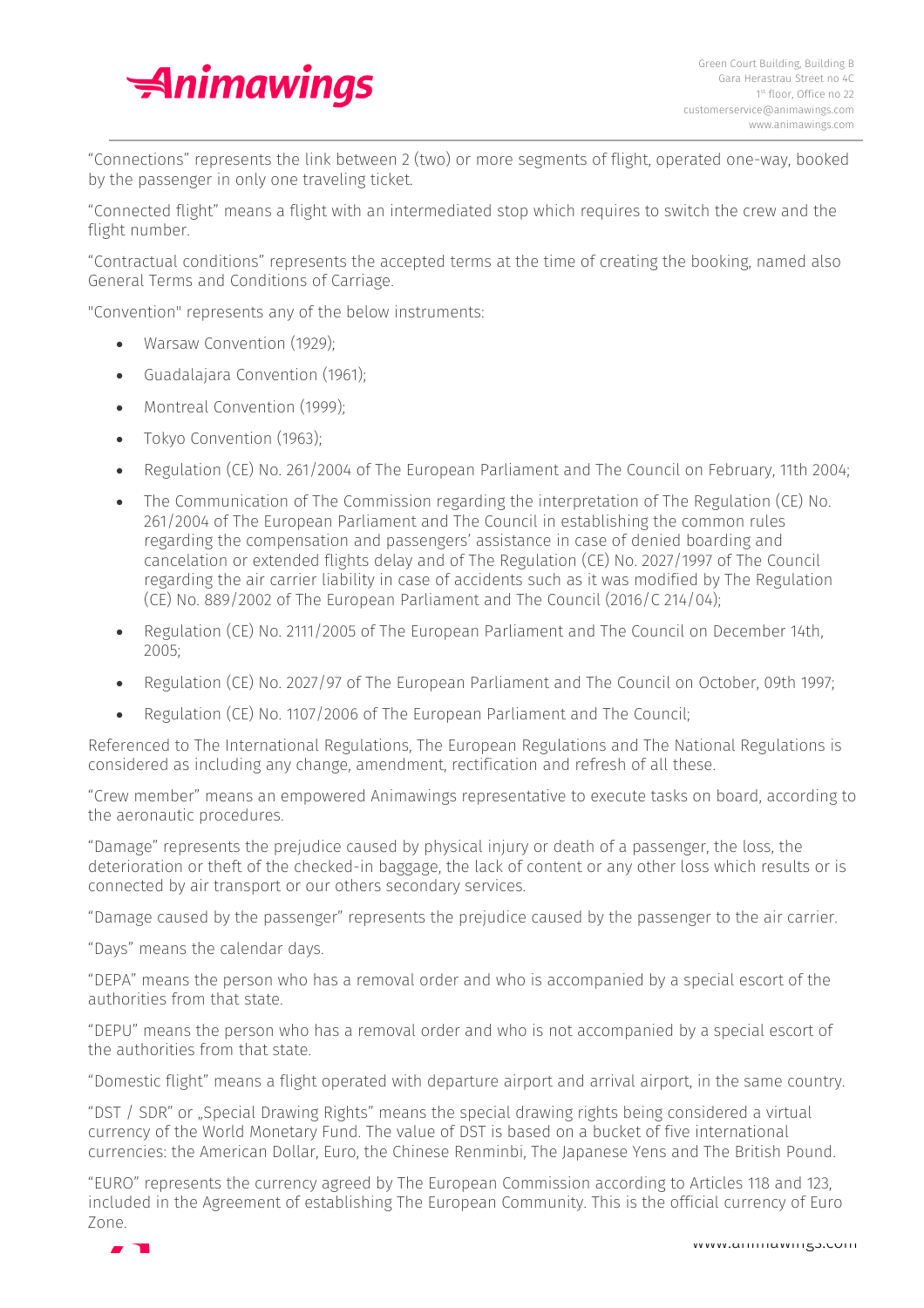

"Connections" represents the link between 2 (two) or more segments of flight, operated one-way, booked by the passenger in only one traveling ticket.

"Connected flight" means a flight with an intermediated stop which requires to switch the crew and the flight number.

"Contractual conditions" represents the accepted terms at the time of creating the booking, named also General Terms and Conditions of Carriage.

"Convention" represents any of the below instruments:

- Warsaw Convention (1929);
- Guadalajara Convention (1961);
- Montreal Convention (1999);
- Tokyo Convention (1963);
- Regulation (CE) No. 261/2004 of The European Parliament and The Council on February, 11th 2004;
- The Communication of The Commission regarding the interpretation of The Regulation (CE) No. 261/2004 of The European Parliament and The Council in establishing the common rules regarding the compensation and passengers' assistance in case of denied boarding and cancelation or extended flights delay and of The Regulation (CE) No. 2027/1997 of The Council regarding the air carrier liability in case of accidents such as it was modified by The Regulation (CE) No. 889/2002 of The European Parliament and The Council (2016/C 214/04);
- Regulation (CE) No. 2111/2005 of The European Parliament and The Council on December 14th, 2005;
- Regulation (CE) No. 2027/97 of The European Parliament and The Council on October, 09th 1997;
- Regulation (CE) No. 1107/2006 of The European Parliament and The Council;

Referenced to The International Regulations, The European Regulations and The National Regulations is considered as including any change, amendment, rectification and refresh of all these.

"Crew member" means an empowered Animawings representative to execute tasks on board, according to the aeronautic procedures.

"Damage" represents the prejudice caused by physical injury or death of a passenger, the loss, the deterioration or theft of the checked-in baggage, the lack of content or any other loss which results or is connected by air transport or our others secondary services.

"Damage caused by the passenger" represents the prejudice caused by the passenger to the air carrier.

"Days" means the calendar days.

"DEPA" means the person who has a removal order and who is accompanied by a special escort of the authorities from that state.

"DEPU" means the person who has a removal order and who is not accompanied by a special escort of the authorities from that state.

"Domestic flight" means a flight operated with departure airport and arrival airport, in the same country.

"DST / SDR" or "Special Drawing Rights" means the special drawing rights being considered a virtual currency of the World Monetary Fund. The value of DST is based on a bucket of five international currencies: the American Dollar, Euro, the Chinese Renminbi, The Japanese Yens and The British Pound.

"EURO" represents the currency agreed by The European Commission according to Articles 118 and 123, included in the Agreement of establishing The European Community. This is the official currency of Euro Zone.

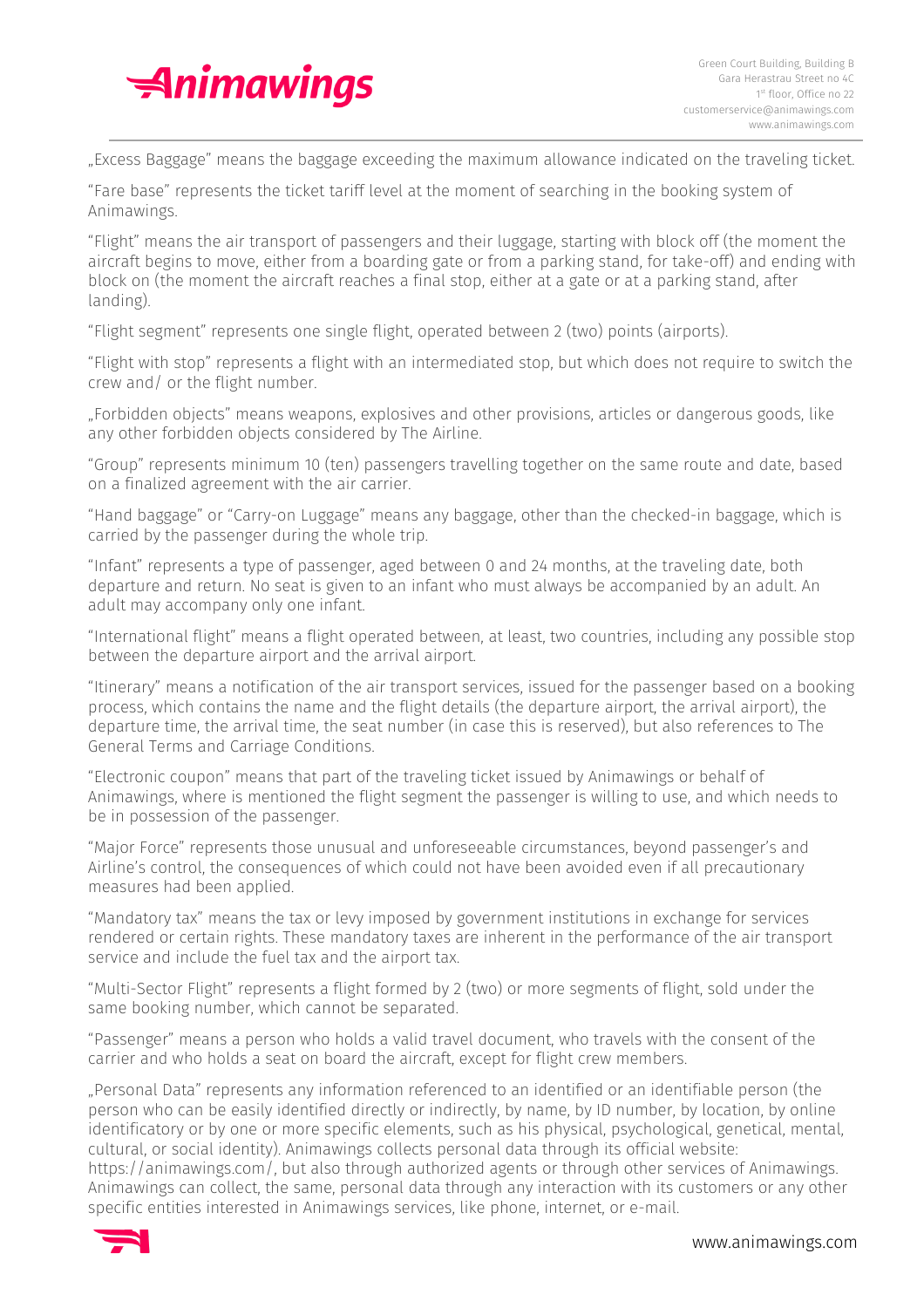

"Excess Baggage" means the baggage exceeding the maximum allowance indicated on the traveling ticket.

"Fare base" represents the ticket tariff level at the moment of searching in the booking system of Animawings.

"Flight" means the air transport of passengers and their luggage, starting with block off (the moment the aircraft begins to move, either from a boarding gate or from a parking stand, for take-off) and ending with block on (the moment the aircraft reaches a final stop, either at a gate or at a parking stand, after landing).

"Flight segment" represents one single flight, operated between 2 (two) points (airports).

"Flight with stop" represents a flight with an intermediated stop, but which does not require to switch the crew and/ or the flight number.

"Forbidden objects" means weapons, explosives and other provisions, articles or dangerous goods, like any other forbidden objects considered by The Airline.

"Group" represents minimum 10 (ten) passengers travelling together on the same route and date, based on a finalized agreement with the air carrier.

"Hand baggage" or "Carry-on Luggage" means any baggage, other than the checked-in baggage, which is carried by the passenger during the whole trip.

"Infant" represents a type of passenger, aged between 0 and 24 months, at the traveling date, both departure and return. No seat is given to an infant who must always be accompanied by an adult. An adult may accompany only one infant.

"International flight" means a flight operated between, at least, two countries, including any possible stop between the departure airport and the arrival airport.

"Itinerary" means a notification of the air transport services, issued for the passenger based on a booking process, which contains the name and the flight details (the departure airport, the arrival airport), the departure time, the arrival time, the seat number (in case this is reserved), but also references to The General Terms and Carriage Conditions.

"Electronic coupon" means that part of the traveling ticket issued by Animawings or behalf of Animawings, where is mentioned the flight segment the passenger is willing to use, and which needs to be in possession of the passenger.

"Major Force" represents those unusual and unforeseeable circumstances, beyond passenger's and Airline's control, the consequences of which could not have been avoided even if all precautionary measures had been applied.

"Mandatory tax" means the tax or levy imposed by government institutions in exchange for services rendered or certain rights. These mandatory taxes are inherent in the performance of the air transport service and include the fuel tax and the airport tax.

"Multi-Sector Flight" represents a flight formed by 2 (two) or more segments of flight, sold under the same booking number, which cannot be separated.

"Passenger" means a person who holds a valid travel document, who travels with the consent of the carrier and who holds a seat on board the aircraft, except for flight crew members.

"Personal Data" represents any information referenced to an identified or an identifiable person (the person who can be easily identified directly or indirectly, by name, by ID number, by location, by online identificatory or by one or more specific elements, such as his physical, psychological, genetical, mental, cultural, or social identity). Animawings collects personal data through its official website:

https://animawings.com/, but also through authorized agents or through other services of Animawings. Animawings can collect, the same, personal data through any interaction with its customers or any other specific entities interested in Animawings services, like phone, internet, or e-mail.

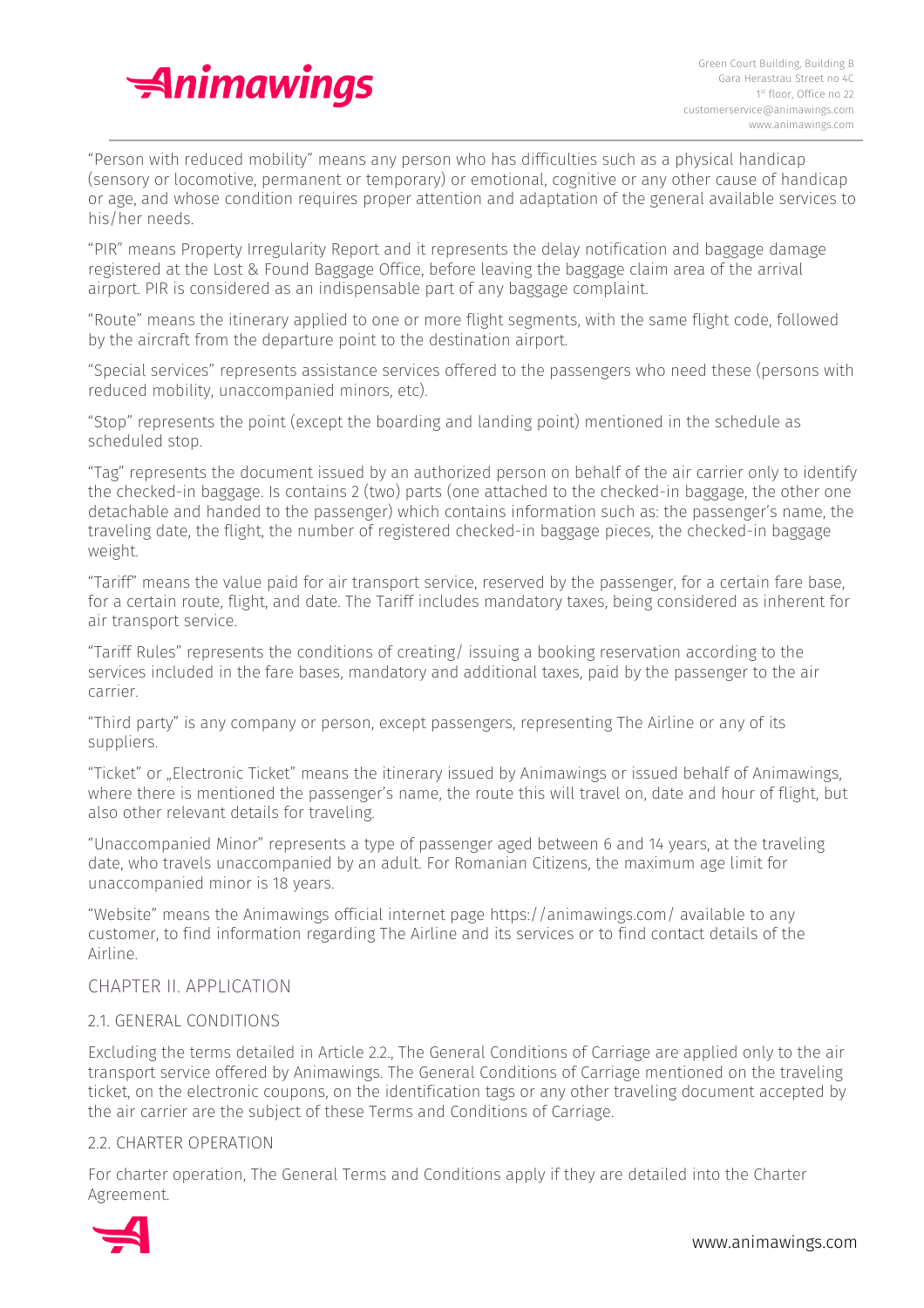

"Person with reduced mobility" means any person who has difficulties such as a physical handicap (sensory or locomotive, permanent or temporary) or emotional, cognitive or any other cause of handicap or age, and whose condition requires proper attention and adaptation of the general available services to his/her needs.

"PIR" means Property Irregularity Report and it represents the delay notification and baggage damage registered at the Lost & Found Baggage Office, before leaving the baggage claim area of the arrival airport. PIR is considered as an indispensable part of any baggage complaint.

"Route" means the itinerary applied to one or more flight segments, with the same flight code, followed by the aircraft from the departure point to the destination airport.

"Special services" represents assistance services offered to the passengers who need these (persons with reduced mobility, unaccompanied minors, etc).

"Stop" represents the point (except the boarding and landing point) mentioned in the schedule as scheduled stop.

"Tag" represents the document issued by an authorized person on behalf of the air carrier only to identify the checked-in baggage. Is contains 2 (two) parts (one attached to the checked-in baggage, the other one detachable and handed to the passenger) which contains information such as: the passenger's name, the traveling date, the flight, the number of registered checked-in baggage pieces, the checked-in baggage weight.

"Tariff" means the value paid for air transport service, reserved by the passenger, for a certain fare base, for a certain route, flight, and date. The Tariff includes mandatory taxes, being considered as inherent for air transport service.

"Tariff Rules" represents the conditions of creating/ issuing a booking reservation according to the services included in the fare bases, mandatory and additional taxes, paid by the passenger to the air carrier.

"Third party" is any company or person, except passengers, representing The Airline or any of its suppliers.

"Ticket" or "Electronic Ticket" means the itinerary issued by Animawings or issued behalf of Animawings, where there is mentioned the passenger's name, the route this will travel on, date and hour of flight, but also other relevant details for traveling.

"Unaccompanied Minor" represents a type of passenger aged between 6 and 14 years, at the traveling date, who travels unaccompanied by an adult. For Romanian Citizens, the maximum age limit for unaccompanied minor is 18 years.

"Website" means the Animawings official internet page https://animawings.com/ available to any customer, to find information regarding The Airline and its services or to find contact details of the Airline.

# CHAPTER II. APPLICATION

# 2.1. GENERAL CONDITIONS

Excluding the terms detailed in Article 2.2., The General Conditions of Carriage are applied only to the air transport service offered by Animawings. The General Conditions of Carriage mentioned on the traveling ticket, on the electronic coupons, on the identification tags or any other traveling document accepted by the air carrier are the subject of these Terms and Conditions of Carriage.

# 2.2. CHARTER OPERATION

For charter operation, The General Terms and Conditions apply if they are detailed into the Charter Agreement.

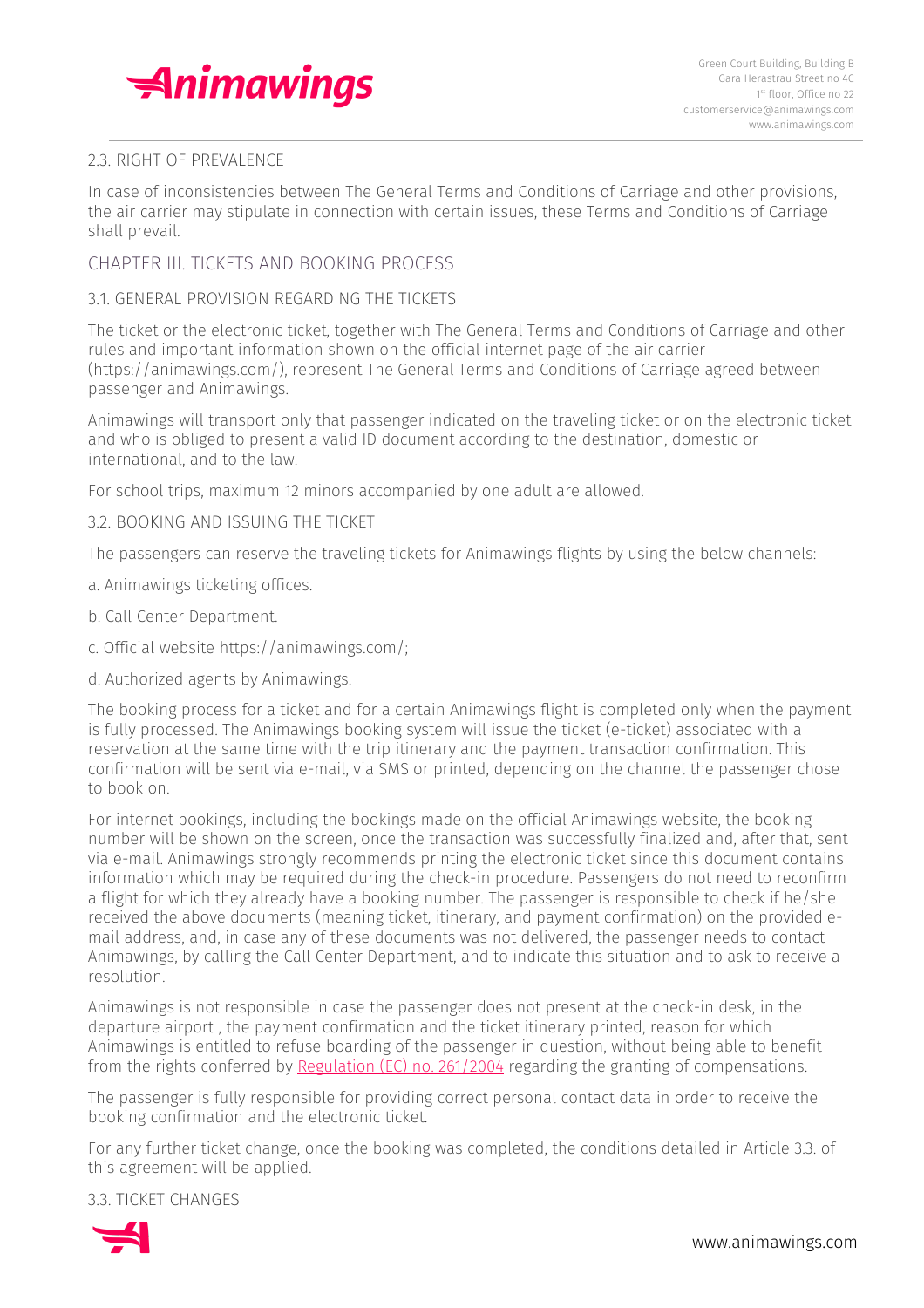

# 2.3. RIGHT OF PREVALENCE

In case of inconsistencies between The General Terms and Conditions of Carriage and other provisions, the air carrier may stipulate in connection with certain issues, these Terms and Conditions of Carriage shall prevail.

# CHAPTER III. TICKETS AND BOOKING PROCESS

## 3.1. GENERAL PROVISION REGARDING THE TICKETS

The ticket or the electronic ticket, together with The General Terms and Conditions of Carriage and other rules and important information shown on the official internet page of the air carrier (https://animawings.com/), represent The General Terms and Conditions of Carriage agreed between passenger and Animawings.

Animawings will transport only that passenger indicated on the traveling ticket or on the electronic ticket and who is obliged to present a valid ID document according to the destination, domestic or international, and to the law.

For school trips, maximum 12 minors accompanied by one adult are allowed.

## 3.2. BOOKING AND ISSUING THE TICKET

The passengers can reserve the traveling tickets for Animawings flights by using the below channels:

- a. Animawings ticketing offices.
- b. Call Center Department.
- c. Official website https://animawings.com/;
- d. Authorized agents by Animawings.

The booking process for a ticket and for a certain Animawings flight is completed only when the payment is fully processed. The Animawings booking system will issue the ticket (e-ticket) associated with a reservation at the same time with the trip itinerary and the payment transaction confirmation. This confirmation will be sent via e-mail, via SMS or printed, depending on the channel the passenger chose to book on.

For internet bookings, including the bookings made on the official Animawings website, the booking number will be shown on the screen, once the transaction was successfully finalized and, after that, sent via e-mail. Animawings strongly recommends printing the electronic ticket since this document contains information which may be required during the check-in procedure. Passengers do not need to reconfirm a flight for which they already have a booking number. The passenger is responsible to check if he/she received the above documents (meaning ticket, itinerary, and payment confirmation) on the provided email address, and, in case any of these documents was not delivered, the passenger needs to contact Animawings, by calling the Call Center Department, and to indicate this situation and to ask to receive a resolution.

Animawings is not responsible in case the passenger does not present at the check-in desk, in the departure airport , the payment confirmation and the ticket itinerary printed, reason for which Animawings is entitled to refuse boarding of the passenger in question, without being able to benefit from the rights conferred by [Regulation](https://eur-lex.europa.eu/legal-content/EN/TXT/HTML/?uri=CELEX:32004R0261) (EC) no. 261/2004 regarding the granting of compensations.

The passenger is fully responsible for providing correct personal contact data in order to receive the booking confirmation and the electronic ticket.

For any further ticket change, once the booking was completed, the conditions detailed in Article 3.3. of this agreement will be applied.

3.3. TICKET CHANGES

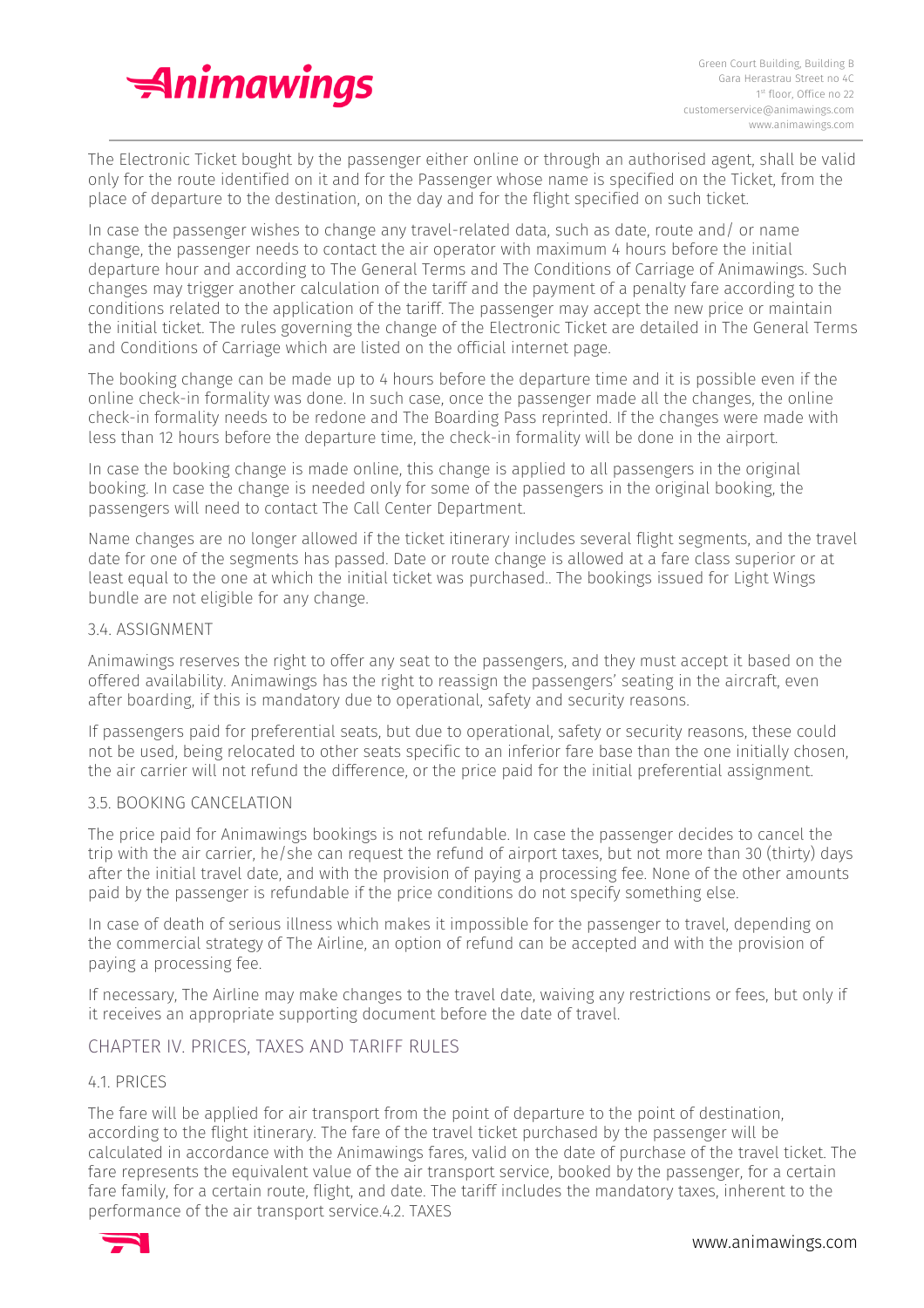

The Electronic Ticket bought by the passenger either online or through an authorised agent, shall be valid only for the route identified on it and for the Passenger whose name is specified on the Ticket, from the place of departure to the destination, on the day and for the flight specified on such ticket.

In case the passenger wishes to change any travel-related data, such as date, route and/ or name change, the passenger needs to contact the air operator with maximum 4 hours before the initial departure hour and according to The General Terms and The Conditions of Carriage of Animawings. Such changes may trigger another calculation of the tariff and the payment of a penalty fare according to the conditions related to the application of the tariff. The passenger may accept the new price or maintain the initial ticket. The rules governing the change of the Electronic Ticket are detailed in The General Terms and Conditions of Carriage which are listed on the official internet page.

The booking change can be made up to 4 hours before the departure time and it is possible even if the online check-in formality was done. In such case, once the passenger made all the changes, the online check-in formality needs to be redone and The Boarding Pass reprinted. If the changes were made with less than 12 hours before the departure time, the check-in formality will be done in the airport.

In case the booking change is made online, this change is applied to all passengers in the original booking. In case the change is needed only for some of the passengers in the original booking, the passengers will need to contact The Call Center Department.

Name changes are no longer allowed if the ticket itinerary includes several flight segments, and the travel date for one of the segments has passed. Date or route change is allowed at a fare class superior or at least equal to the one at which the initial ticket was purchased.. The bookings issued for Light Wings bundle are not eligible for any change.

## 3.4. ASSIGNMENT

Animawings reserves the right to offer any seat to the passengers, and they must accept it based on the offered availability. Animawings has the right to reassign the passengers' seating in the aircraft, even after boarding, if this is mandatory due to operational, safety and security reasons.

If passengers paid for preferential seats, but due to operational, safety or security reasons, these could not be used, being relocated to other seats specific to an inferior fare base than the one initially chosen, the air carrier will not refund the difference, or the price paid for the initial preferential assignment.

#### 3.5. BOOKING CANCELATION

The price paid for Animawings bookings is not refundable. In case the passenger decides to cancel the trip with the air carrier, he/she can request the refund of airport taxes, but not more than 30 (thirty) days after the initial travel date, and with the provision of paying a processing fee. None of the other amounts paid by the passenger is refundable if the price conditions do not specify something else.

In case of death of serious illness which makes it impossible for the passenger to travel, depending on the commercial strategy of The Airline, an option of refund can be accepted and with the provision of paying a processing fee.

If necessary, The Airline may make changes to the travel date, waiving any restrictions or fees, but only if it receives an appropriate supporting document before the date of travel.

# CHAPTER IV. PRICES, TAXES AND TARIFF RULES

#### 4.1. PRICES

The fare will be applied for air transport from the point of departure to the point of destination, according to the flight itinerary. The fare of the travel ticket purchased by the passenger will be calculated in accordance with the Animawings fares, valid on the date of purchase of the travel ticket. The fare represents the equivalent value of the air transport service, booked by the passenger, for a certain fare family, for a certain route, flight, and date. The tariff includes the mandatory taxes, inherent to the performance of the air transport service.4.2. TAXES

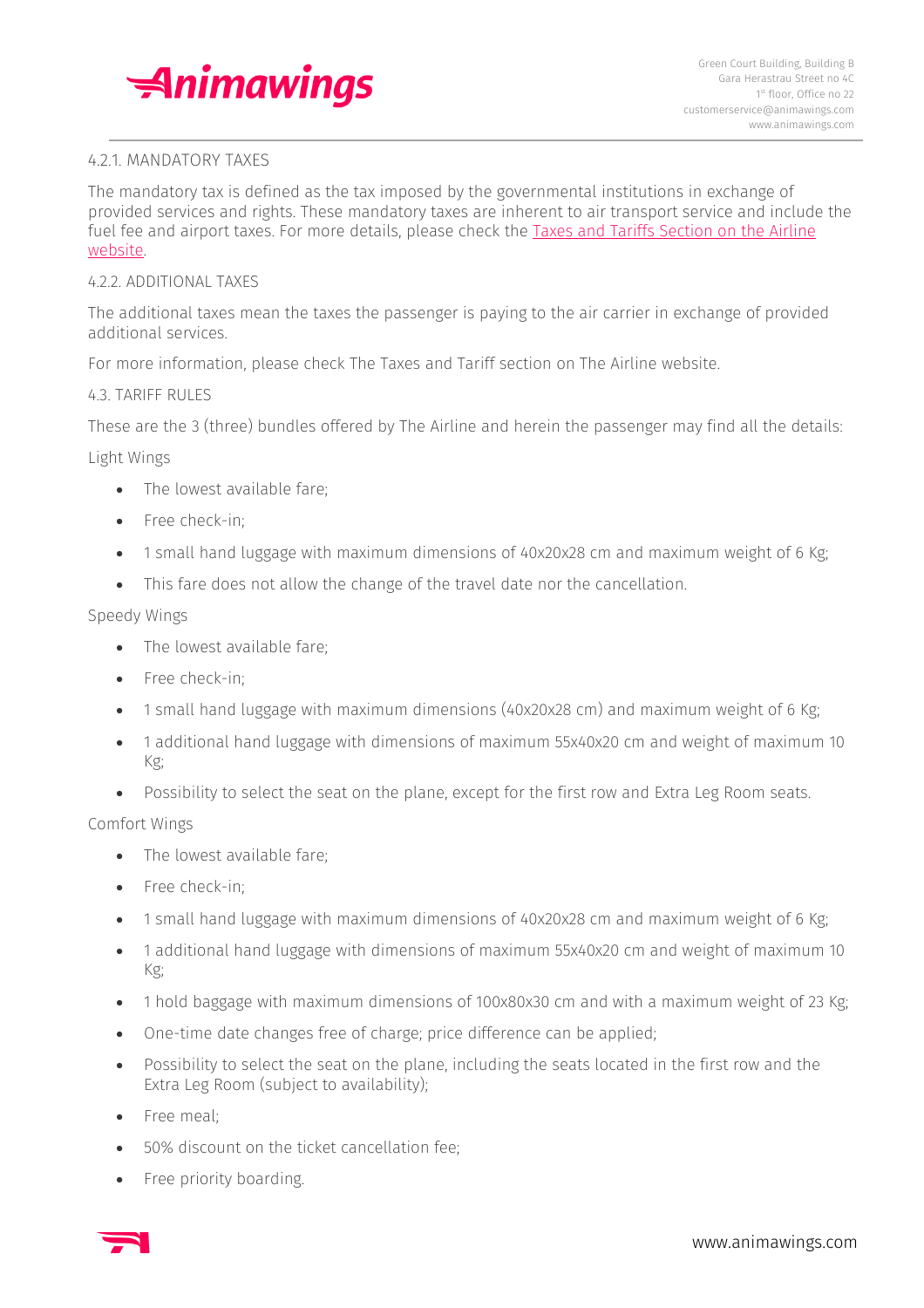

## 4.2.1. MANDATORY TAXES

The mandatory tax is defined as the tax imposed by the governmental institutions in exchange of provided services and rights. These mandatory taxes are inherent to air transport service and include the fuel fee and airport taxes. For more details, please check the Taxes and Tariffs [Section](https://animawings.com/en/taxes-and-tariffs) on the Airline [website.](https://animawings.com/en/taxes-and-tariffs)

#### 4.2.2. ADDITIONAL TAXES

The additional taxes mean the taxes the passenger is paying to the air carrier in exchange of provided additional services.

For more information, please check The Taxes and Tariff section on The Airline website.

#### 4.3. TARIFF RULES

These are the 3 (three) bundles offered by The Airline and herein the passenger may find all the details:

Light Wings

- The lowest available fare;
- Free check-in:
- 1 small hand luggage with maximum dimensions of 40x20x28 cm and maximum weight of 6 Kg;
- This fare does not allow the change of the travel date nor the cancellation.

## Speedy Wings

- The lowest available fare;
- Free check-in:
- 1 small hand luggage with maximum dimensions (40x20x28 cm) and maximum weight of 6 Kg;
- 1 additional hand luggage with dimensions of maximum 55x40x20 cm and weight of maximum 10 Kg;
- Possibility to select the seat on the plane, except for the first row and Extra Leg Room seats.

#### Comfort Wings

- The lowest available fare;
- Free check-in;
- 1 small hand luggage with maximum dimensions of 40x20x28 cm and maximum weight of 6 Kg;
- 1 additional hand luggage with dimensions of maximum 55x40x20 cm and weight of maximum 10 Kg;
- 1 hold baggage with maximum dimensions of 100x80x30 cm and with a maximum weight of 23 Kg;
- One-time date changes free of charge; price difference can be applied;
- Possibility to select the seat on the plane, including the seats located in the first row and the Extra Leg Room (subject to availability);
- Free meal;
- 50% discount on the ticket cancellation fee;
- Free priority boarding.

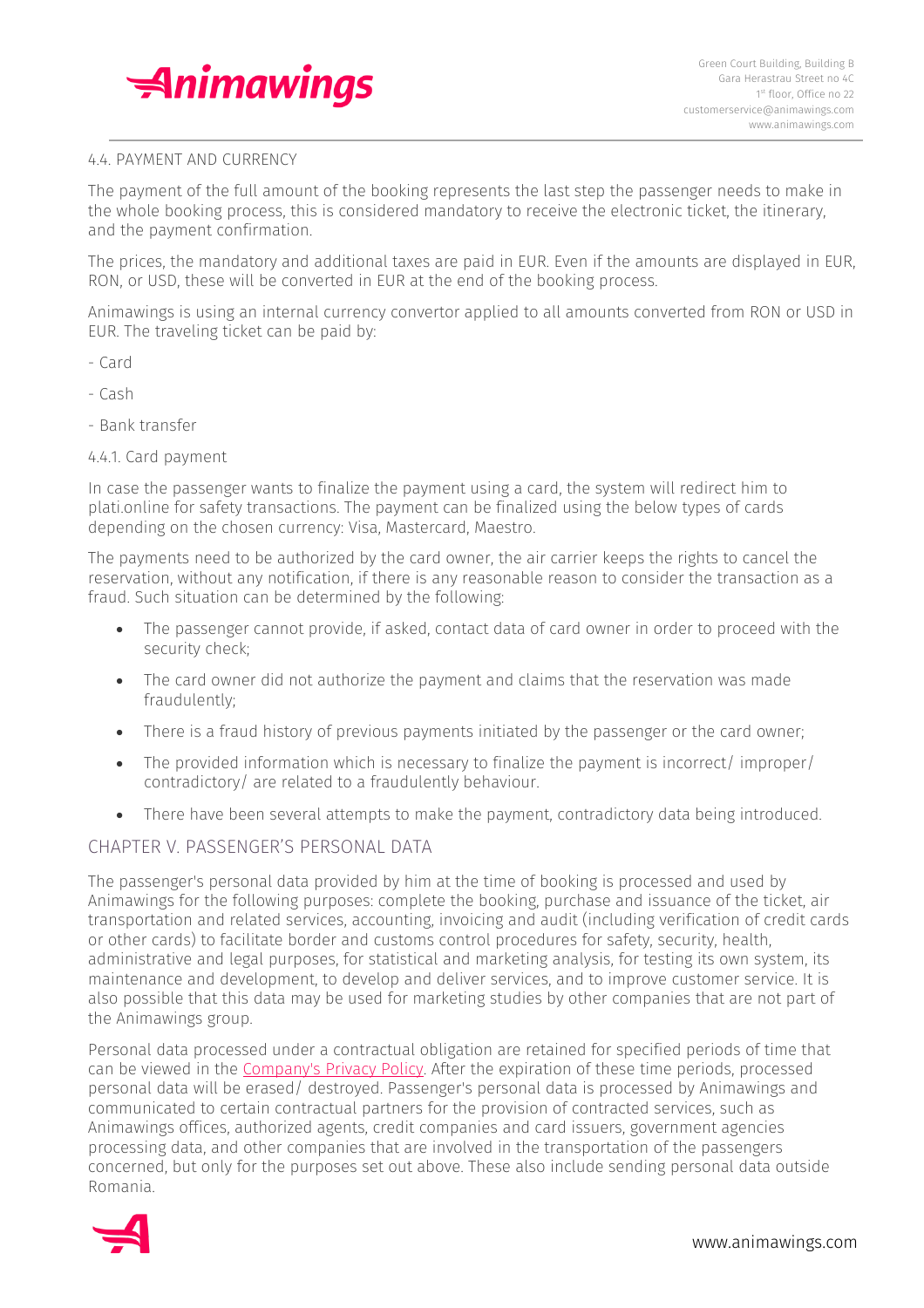

## 4.4. PAYMENT AND CURRENCY

The payment of the full amount of the booking represents the last step the passenger needs to make in the whole booking process, this is considered mandatory to receive the electronic ticket, the itinerary, and the payment confirmation.

The prices, the mandatory and additional taxes are paid in EUR. Even if the amounts are displayed in EUR, RON, or USD, these will be converted in EUR at the end of the booking process.

Animawings is using an internal currency convertor applied to all amounts converted from RON or USD in EUR. The traveling ticket can be paid by:

- Card
- Cash
- Bank transfer

## 4.4.1. Card payment

In case the passenger wants to finalize the payment using a card, the system will redirect him to plati.online for safety transactions. The payment can be finalized using the below types of cards depending on the chosen currency: Visa, Mastercard, Maestro.

The payments need to be authorized by the card owner, the air carrier keeps the rights to cancel the reservation, without any notification, if there is any reasonable reason to consider the transaction as a fraud. Such situation can be determined by the following:

- The passenger cannot provide, if asked, contact data of card owner in order to proceed with the security check;
- The card owner did not authorize the payment and claims that the reservation was made fraudulently;
- There is a fraud history of previous payments initiated by the passenger or the card owner;
- The provided information which is necessary to finalize the payment is incorrect/improper/ contradictory/ are related to a fraudulently behaviour.
- There have been several attempts to make the payment, contradictory data being introduced.

# CHAPTER V. PASSENGER'S PERSONAL DATA

The passenger's personal data provided by him at the time of booking is processed and used by Animawings for the following purposes: complete the booking, purchase and issuance of the ticket, air transportation and related services, accounting, invoicing and audit (including verification of credit cards or other cards) to facilitate border and customs control procedures for safety, security, health, administrative and legal purposes, for statistical and marketing analysis, for testing its own system, its maintenance and development, to develop and deliver services, and to improve customer service. It is also possible that this data may be used for marketing studies by other companies that are not part of the Animawings group.

Personal data processed under a contractual obligation are retained for specified periods of time that can be viewed in the [Company's](https://animawings.com/en/privacy-policy) Privacy Policy. After the expiration of these time periods, processed personal data will be erased/ destroyed. Passenger's personal data is processed by Animawings and communicated to certain contractual partners for the provision of contracted services, such as Animawings offices, authorized agents, credit companies and card issuers, government agencies processing data, and other companies that are involved in the transportation of the passengers concerned, but only for the purposes set out above. These also include sending personal data outside Romania.

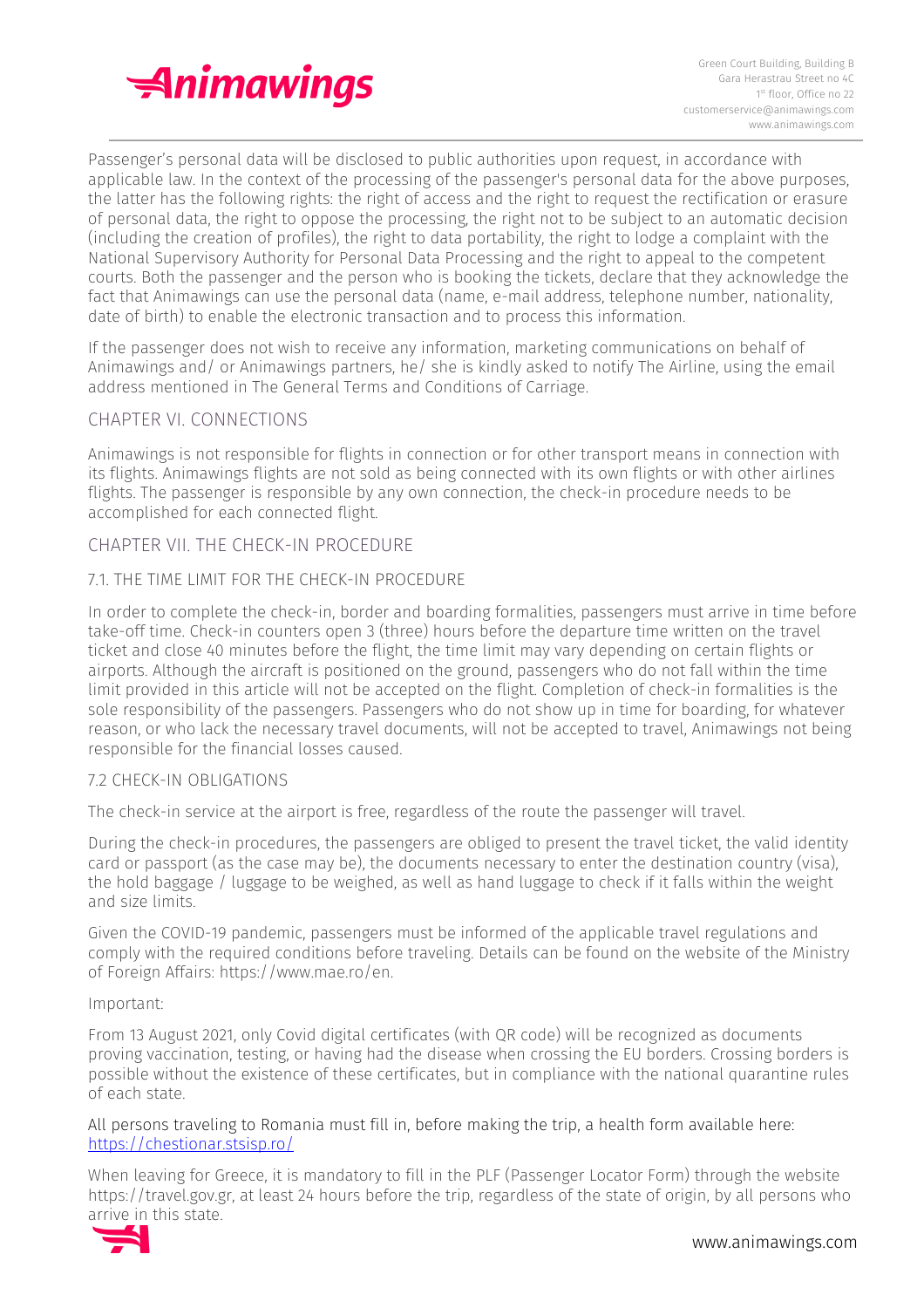

Passenger's personal data will be disclosed to public authorities upon request, in accordance with applicable law. In the context of the processing of the passenger's personal data for the above purposes, the latter has the following rights: the right of access and the right to request the rectification or erasure of personal data, the right to oppose the processing, the right not to be subject to an automatic decision (including the creation of profiles), the right to data portability, the right to lodge a complaint with the National Supervisory Authority for Personal Data Processing and the right to appeal to the competent courts. Both the passenger and the person who is booking the tickets, declare that they acknowledge the fact that Animawings can use the personal data (name, e-mail address, telephone number, nationality, date of birth) to enable the electronic transaction and to process this information.

If the passenger does not wish to receive any information, marketing communications on behalf of Animawings and/ or Animawings partners, he/ she is kindly asked to notify The Airline, using the email address mentioned in The General Terms and Conditions of Carriage.

# CHAPTER VI. CONNECTIONS

Animawings is not responsible for flights in connection or for other transport means in connection with its flights. Animawings flights are not sold as being connected with its own flights or with other airlines flights. The passenger is responsible by any own connection, the check-in procedure needs to be accomplished for each connected flight.

## CHAPTER VII. THE CHECK-IN PROCEDURE

## 7.1. THE TIME LIMIT FOR THE CHECK-IN PROCEDURE

In order to complete the check-in, border and boarding formalities, passengers must arrive in time before take-off time. Check-in counters open 3 (three) hours before the departure time written on the travel ticket and close 40 minutes before the flight, the time limit may vary depending on certain flights or airports. Although the aircraft is positioned on the ground, passengers who do not fall within the time limit provided in this article will not be accepted on the flight. Completion of check-in formalities is the sole responsibility of the passengers. Passengers who do not show up in time for boarding, for whatever reason, or who lack the necessary travel documents, will not be accepted to travel, Animawings not being responsible for the financial losses caused.

#### 7.2 CHECK-IN OBLIGATIONS

The check-in service at the airport is free, regardless of the route the passenger will travel.

During the check-in procedures, the passengers are obliged to present the travel ticket, the valid identity card or passport (as the case may be), the documents necessary to enter the destination country (visa), the hold baggage / luggage to be weighed, as well as hand luggage to check if it falls within the weight and size limits.

Given the COVID-19 pandemic, passengers must be informed of the applicable travel regulations and comply with the required conditions before traveling. Details can be found on the website of the Ministry of Foreign Affairs: https://www.mae.ro/en.

#### Important:

From 13 August 2021, only Covid digital certificates (with QR code) will be recognized as documents proving vaccination, testing, or having had the disease when crossing the EU borders. Crossing borders is possible without the existence of these certificates, but in compliance with the national quarantine rules of each state.

#### All persons traveling to Romania must fill in, before making the trip, a health form available here: <https://chestionar.stsisp.ro/>

When leaving for Greece, it is mandatory to fill in the PLF (Passenger Locator Form) through the website https://travel.gov.gr, at least 24 hours before the trip, regardless of the state of origin, by all persons who arrive in this state.

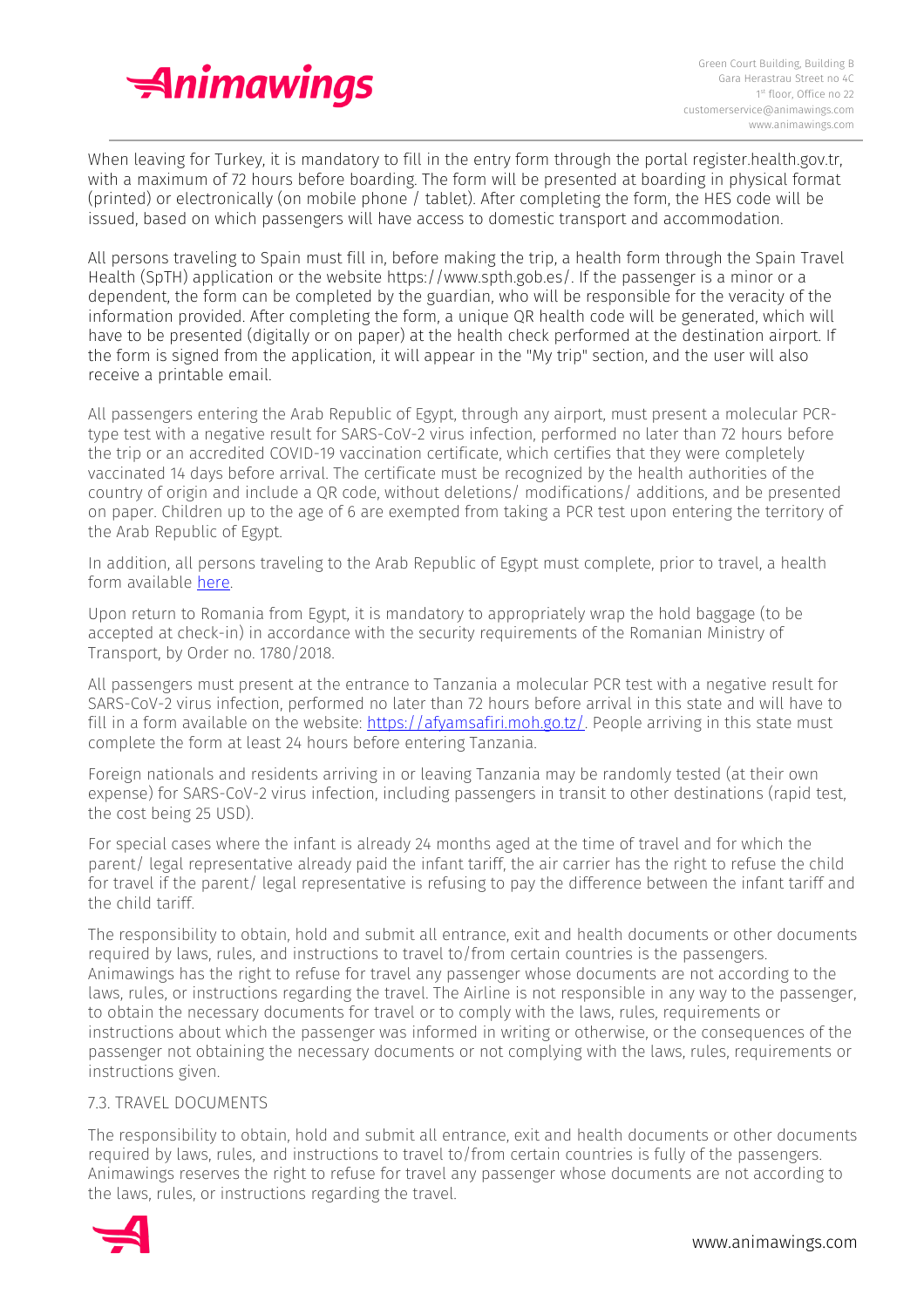

When leaving for Turkey, it is mandatory to fill in the entry form through the portal register.health.gov.tr, with a maximum of 72 hours before boarding. The form will be presented at boarding in physical format (printed) or electronically (on mobile phone / tablet). After completing the form, the HES code will be issued, based on which passengers will have access to domestic transport and accommodation.

All persons traveling to Spain must fill in, before making the trip, a health form through the Spain Travel Health (SpTH) application or the website https://www.spth.gob.es/. If the passenger is a minor or a dependent, the form can be completed by the guardian, who will be responsible for the veracity of the information provided. After completing the form, a unique QR health code will be generated, which will have to be presented (digitally or on paper) at the health check performed at the destination airport. If the form is signed from the application, it will appear in the "My trip" section, and the user will also receive a printable email.

All passengers entering the Arab Republic of Egypt, through any airport, must present a molecular PCRtype test with a negative result for SARS-CoV-2 virus infection, performed no later than 72 hours before the trip or an accredited COVID-19 vaccination certificate, which certifies that they were completely vaccinated 14 days before arrival. The certificate must be recognized by the health authorities of the country of origin and include a QR code, without deletions/ modifications/ additions, and be presented on paper. Children up to the age of 6 are exempted from taking a PCR test upon entering the territory of the Arab Republic of Egypt.

In addition, all persons traveling to the Arab Republic of Egypt must complete, prior to travel, a health form available [here.](https://animawings.com/img/uploads/Blocks/1376/245efcfc-62c5-4c18-9f16-a8bf4d062486.pdf)

Upon return to Romania from Egypt, it is mandatory to appropriately wrap the hold baggage (to be accepted at check-in) in accordance with the security requirements of the Romanian Ministry of Transport, by Order no. 1780/2018.

All passengers must present at the entrance to Tanzania a molecular PCR test with a negative result for SARS-CoV-2 virus infection, performed no later than 72 hours before arrival in this state and will have to fill in a form available on the website: [https://afyamsafiri.moh.go.tz/.](https://afyamsafiri.moh.go.tz/) People arriving in this state must complete the form at least 24 hours before entering Tanzania.

Foreign nationals and residents arriving in or leaving Tanzania may be randomly tested (at their own expense) for SARS-CoV-2 virus infection, including passengers in transit to other destinations (rapid test, the cost being 25 USD).

For special cases where the infant is already 24 months aged at the time of travel and for which the parent/ legal representative already paid the infant tariff, the air carrier has the right to refuse the child for travel if the parent/ legal representative is refusing to pay the difference between the infant tariff and the child tariff.

The responsibility to obtain, hold and submit all entrance, exit and health documents or other documents required by laws, rules, and instructions to travel to/from certain countries is the passengers. Animawings has the right to refuse for travel any passenger whose documents are not according to the laws, rules, or instructions regarding the travel. The Airline is not responsible in any way to the passenger, to obtain the necessary documents for travel or to comply with the laws, rules, requirements or instructions about which the passenger was informed in writing or otherwise, or the consequences of the passenger not obtaining the necessary documents or not complying with the laws, rules, requirements or instructions given.

#### 7.3. TRAVEL DOCUMENTS

The responsibility to obtain, hold and submit all entrance, exit and health documents or other documents required by laws, rules, and instructions to travel to/from certain countries is fully of the passengers. Animawings reserves the right to refuse for travel any passenger whose documents are not according to the laws, rules, or instructions regarding the travel.

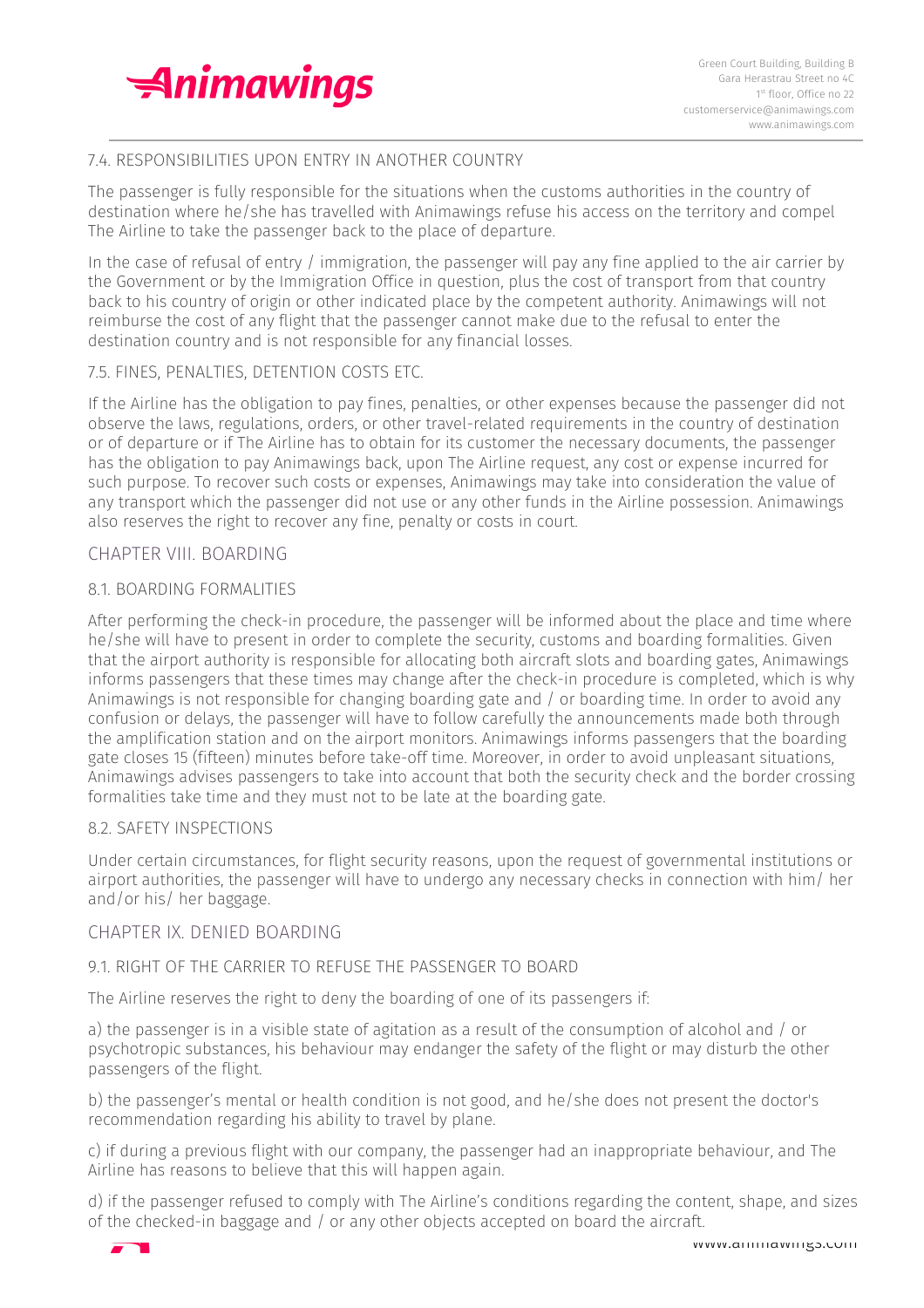

# 7.4. RESPONSIBILITIES UPON ENTRY IN ANOTHER COUNTRY

The passenger is fully responsible for the situations when the customs authorities in the country of destination where he/she has travelled with Animawings refuse his access on the territory and compel The Airline to take the passenger back to the place of departure.

In the case of refusal of entry / immigration, the passenger will pay any fine applied to the air carrier by the Government or by the Immigration Office in question, plus the cost of transport from that country back to his country of origin or other indicated place by the competent authority. Animawings will not reimburse the cost of any flight that the passenger cannot make due to the refusal to enter the destination country and is not responsible for any financial losses.

## 7.5. FINES, PENALTIES, DETENTION COSTS ETC.

If the Airline has the obligation to pay fines, penalties, or other expenses because the passenger did not observe the laws, regulations, orders, or other travel-related requirements in the country of destination or of departure or if The Airline has to obtain for its customer the necessary documents, the passenger has the obligation to pay Animawings back, upon The Airline request, any cost or expense incurred for such purpose. To recover such costs or expenses, Animawings may take into consideration the value of any transport which the passenger did not use or any other funds in the Airline possession. Animawings also reserves the right to recover any fine, penalty or costs in court.

# CHAPTER VIII. BOARDING

## 8.1. BOARDING FORMALITIES

After performing the check-in procedure, the passenger will be informed about the place and time where he/she will have to present in order to complete the security, customs and boarding formalities. Given that the airport authority is responsible for allocating both aircraft slots and boarding gates, Animawings informs passengers that these times may change after the check-in procedure is completed, which is why Animawings is not responsible for changing boarding gate and / or boarding time. In order to avoid any confusion or delays, the passenger will have to follow carefully the announcements made both through the amplification station and on the airport monitors. Animawings informs passengers that the boarding gate closes 15 (fifteen) minutes before take-off time. Moreover, in order to avoid unpleasant situations, Animawings advises passengers to take into account that both the security check and the border crossing formalities take time and they must not to be late at the boarding gate.

#### 8.2. SAFETY INSPECTIONS

Under certain circumstances, for flight security reasons, upon the request of governmental institutions or airport authorities, the passenger will have to undergo any necessary checks in connection with him/ her and/or his/ her baggage.

# CHAPTER IX. DENIED BOARDING

#### 9.1. RIGHT OF THE CARRIER TO REFUSE THE PASSENGER TO BOARD

The Airline reserves the right to deny the boarding of one of its passengers if:

a) the passenger is in a visible state of agitation as a result of the consumption of alcohol and / or psychotropic substances, his behaviour may endanger the safety of the flight or may disturb the other passengers of the flight.

b) the passenger's mental or health condition is not good, and he/she does not present the doctor's recommendation regarding his ability to travel by plane.

c) if during a previous flight with our company, the passenger had an inappropriate behaviour, and The Airline has reasons to believe that this will happen again.

d) if the passenger refused to comply with The Airline's conditions regarding the content, shape, and sizes of the checked-in baggage and / or any other objects accepted on board the aircraft.

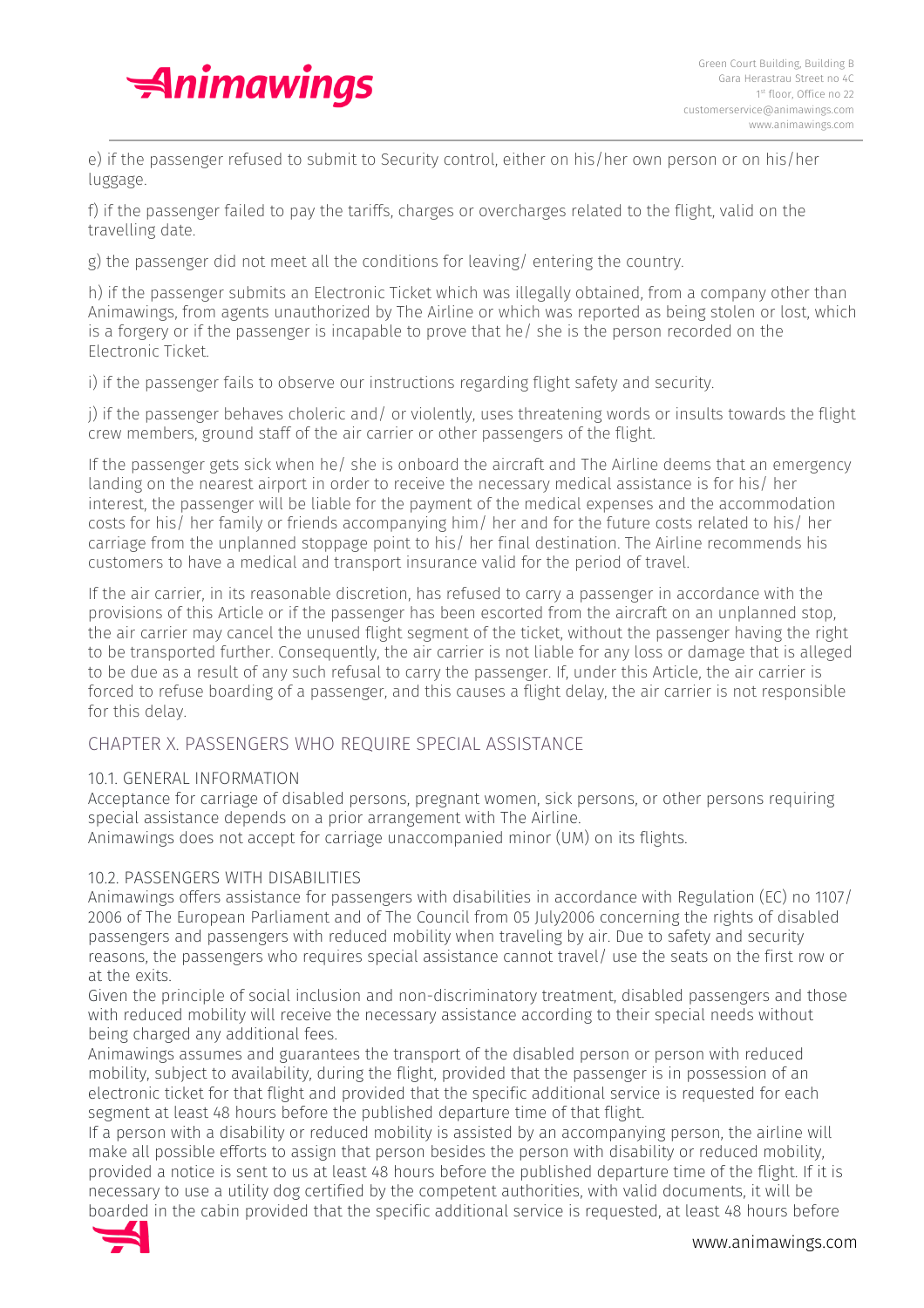

e) if the passenger refused to submit to Security control, either on his/her own person or on his/her luggage.

f) if the passenger failed to pay the tariffs, charges or overcharges related to the flight, valid on the travelling date.

g) the passenger did not meet all the conditions for leaving/ entering the country.

h) if the passenger submits an Electronic Ticket which was illegally obtained, from a company other than Animawings, from agents unauthorized by The Airline or which was reported as being stolen or lost, which is a forgery or if the passenger is incapable to prove that he/ she is the person recorded on the Electronic Ticket.

i) if the passenger fails to observe our instructions regarding flight safety and security.

j) if the passenger behaves choleric and/ or violently, uses threatening words or insults towards the flight crew members, ground staff of the air carrier or other passengers of the flight.

If the passenger gets sick when he/ she is onboard the aircraft and The Airline deems that an emergency landing on the nearest airport in order to receive the necessary medical assistance is for his/ her interest, the passenger will be liable for the payment of the medical expenses and the accommodation costs for his/ her family or friends accompanying him/ her and for the future costs related to his/ her carriage from the unplanned stoppage point to his/ her final destination. The Airline recommends his customers to have a medical and transport insurance valid for the period of travel.

If the air carrier, in its reasonable discretion, has refused to carry a passenger in accordance with the provisions of this Article or if the passenger has been escorted from the aircraft on an unplanned stop, the air carrier may cancel the unused flight segment of the ticket, without the passenger having the right to be transported further. Consequently, the air carrier is not liable for any loss or damage that is alleged to be due as a result of any such refusal to carry the passenger. If, under this Article, the air carrier is forced to refuse boarding of a passenger, and this causes a flight delay, the air carrier is not responsible for this delay.

# CHAPTER X. PASSENGERS WHO REQUIRE SPECIAL ASSISTANCE

#### 10.1. GENERAL INFORMATION

Acceptance for carriage of disabled persons, pregnant women, sick persons, or other persons requiring special assistance depends on a prior arrangement with The Airline.

Animawings does not accept for carriage unaccompanied minor (UM) on its flights.

## 10.2. PASSENGERS WITH DISABILITIES

Animawings offers assistance for passengers with disabilities in accordance with Regulation (EC) no 1107/ 2006 of The European Parliament and of The Council from 05 July2006 concerning the rights of disabled passengers and passengers with reduced mobility when traveling by air. Due to safety and security reasons, the passengers who requires special assistance cannot travel/ use the seats on the first row or at the exits.

Given the principle of social inclusion and non-discriminatory treatment, disabled passengers and those with reduced mobility will receive the necessary assistance according to their special needs without being charged any additional fees.

Animawings assumes and guarantees the transport of the disabled person or person with reduced mobility, subject to availability, during the flight, provided that the passenger is in possession of an electronic ticket for that flight and provided that the specific additional service is requested for each segment at least 48 hours before the published departure time of that flight.

If a person with a disability or reduced mobility is assisted by an accompanying person, the airline will make all possible efforts to assign that person besides the person with disability or reduced mobility, provided a notice is sent to us at least 48 hours before the published departure time of the flight. If it is necessary to use a utility dog certified by the competent authorities, with valid documents, it will be boarded in the cabin provided that the specific additional service is requested, at least 48 hours before

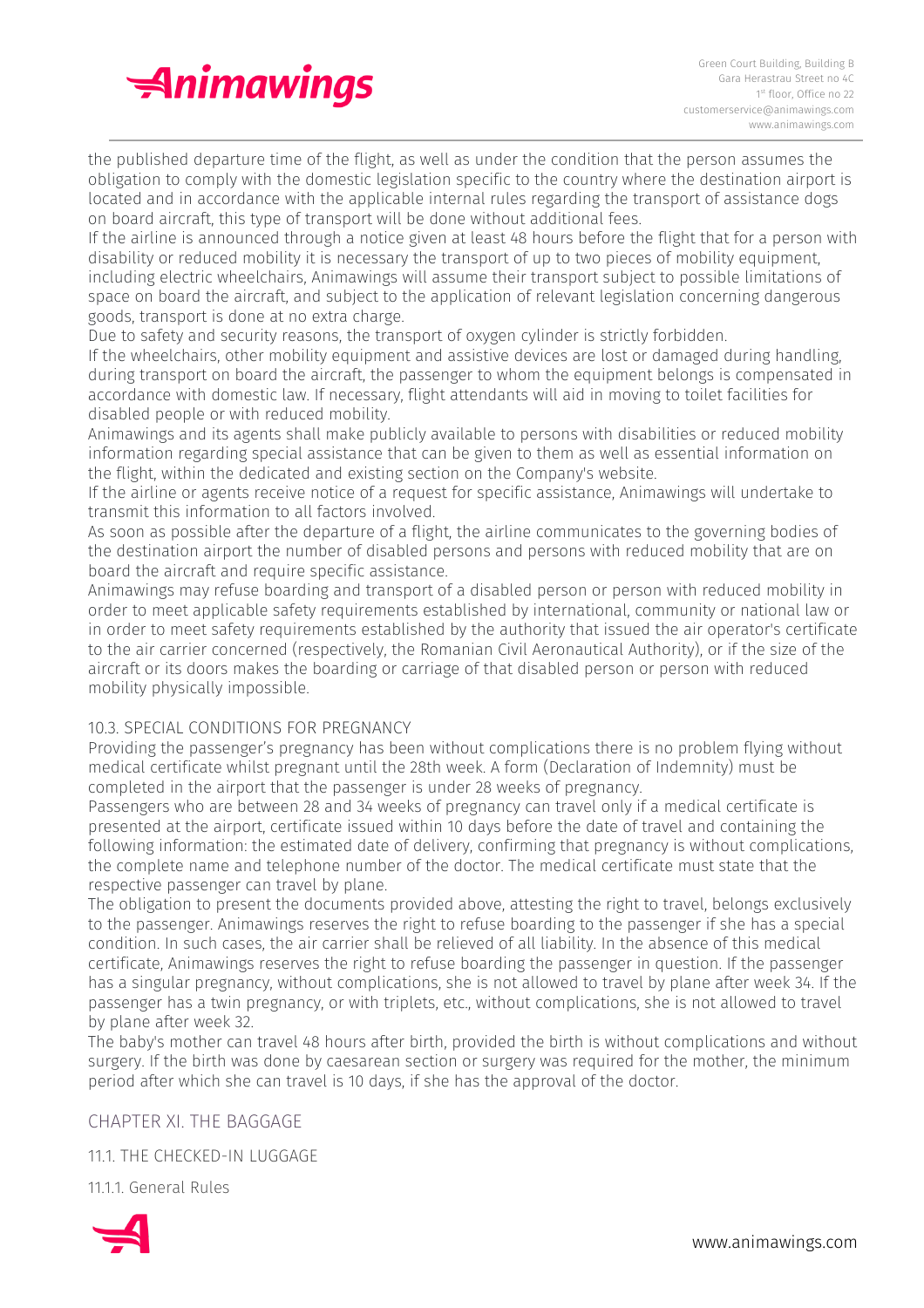

the published departure time of the flight, as well as under the condition that the person assumes the obligation to comply with the domestic legislation specific to the country where the destination airport is located and in accordance with the applicable internal rules regarding the transport of assistance dogs on board aircraft, this type of transport will be done without additional fees.

If the airline is announced through a notice given at least 48 hours before the flight that for a person with disability or reduced mobility it is necessary the transport of up to two pieces of mobility equipment, including electric wheelchairs, Animawings will assume their transport subject to possible limitations of space on board the aircraft, and subject to the application of relevant legislation concerning dangerous goods, transport is done at no extra charge.

Due to safety and security reasons, the transport of oxygen cylinder is strictly forbidden.

If the wheelchairs, other mobility equipment and assistive devices are lost or damaged during handling, during transport on board the aircraft, the passenger to whom the equipment belongs is compensated in accordance with domestic law. If necessary, flight attendants will aid in moving to toilet facilities for disabled people or with reduced mobility.

Animawings and its agents shall make publicly available to persons with disabilities or reduced mobility information regarding special assistance that can be given to them as well as essential information on the flight, within the dedicated and existing section on the Company's website.

If the airline or agents receive notice of a request for specific assistance, Animawings will undertake to transmit this information to all factors involved.

As soon as possible after the departure of a flight, the airline communicates to the governing bodies of the destination airport the number of disabled persons and persons with reduced mobility that are on board the aircraft and require specific assistance.

Animawings may refuse boarding and transport of a disabled person or person with reduced mobility in order to meet applicable safety requirements established by international, community or national law or in order to meet safety requirements established by the authority that issued the air operator's certificate to the air carrier concerned (respectively, the Romanian Civil Aeronautical Authority), or if the size of the aircraft or its doors makes the boarding or carriage of that disabled person or person with reduced mobility physically impossible.

# 10.3. SPECIAL CONDITIONS FOR PREGNANCY

Providing the passenger's pregnancy has been without complications there is no problem flying without medical certificate whilst pregnant until the 28th week. A form (Declaration of Indemnity) must be completed in the airport that the passenger is under 28 weeks of pregnancy.

Passengers who are between 28 and 34 weeks of pregnancy can travel only if a medical certificate is presented at the airport, certificate issued within 10 days before the date of travel and containing the following information: the estimated date of delivery, confirming that pregnancy is without complications, the complete name and telephone number of the doctor. The medical certificate must state that the respective passenger can travel by plane.

The obligation to present the documents provided above, attesting the right to travel, belongs exclusively to the passenger. Animawings reserves the right to refuse boarding to the passenger if she has a special condition. In such cases, the air carrier shall be relieved of all liability. In the absence of this medical certificate, Animawings reserves the right to refuse boarding the passenger in question. If the passenger has a singular pregnancy, without complications, she is not allowed to travel by plane after week 34. If the passenger has a twin pregnancy, or with triplets, etc., without complications, she is not allowed to travel by plane after week 32.

The baby's mother can travel 48 hours after birth, provided the birth is without complications and without surgery. If the birth was done by caesarean section or surgery was required for the mother, the minimum period after which she can travel is 10 days, if she has the approval of the doctor.

CHAPTER XI. THE BAGGAGE

11.1. THE CHECKED-IN LUGGAGE

11.1.1. General Rules

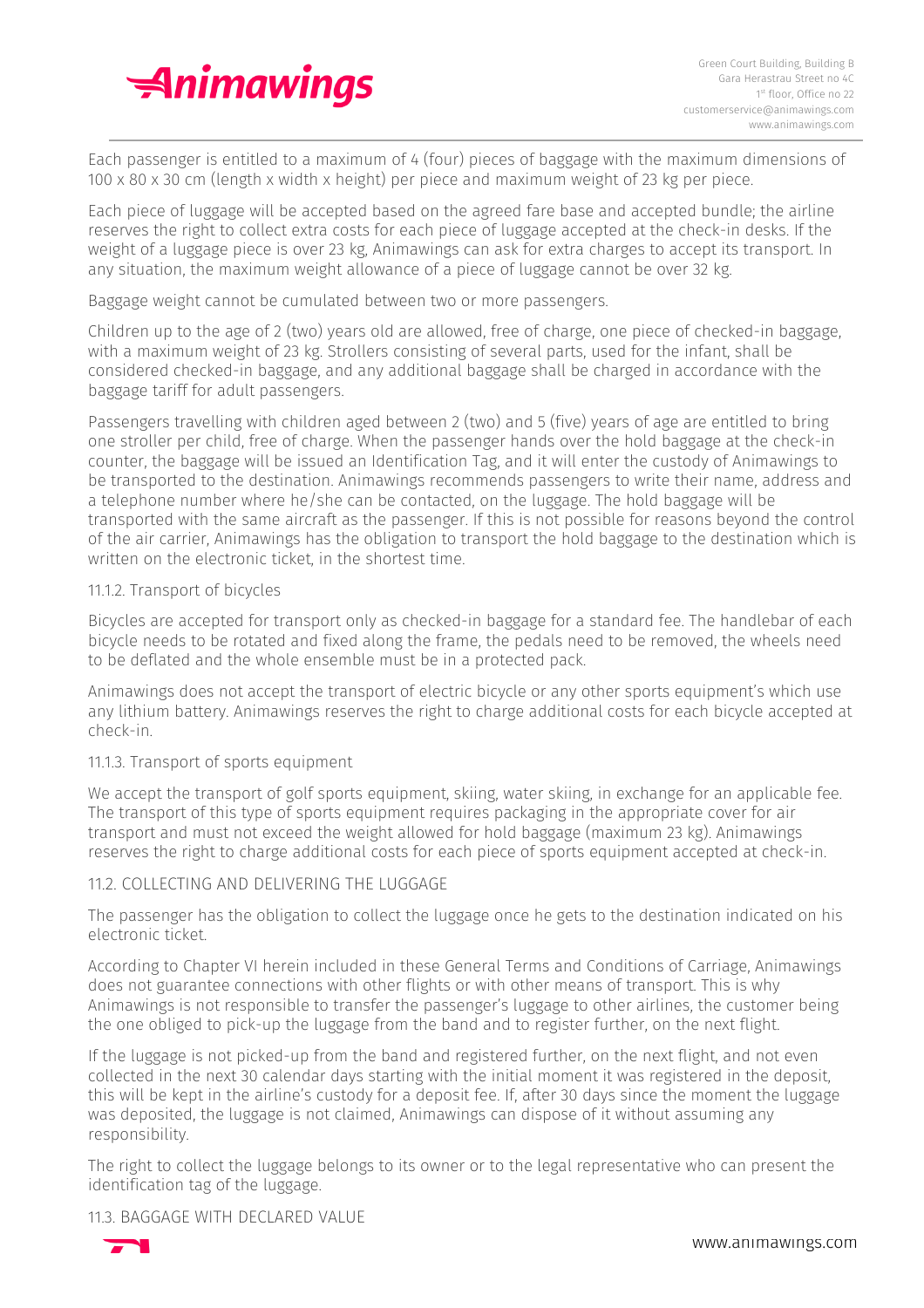

Each passenger is entitled to a maximum of 4 (four) pieces of baggage with the maximum dimensions of 100 x 80 x 30 cm (length x width x height) per piece and maximum weight of 23 kg per piece.

Each piece of luggage will be accepted based on the agreed fare base and accepted bundle; the airline reserves the right to collect extra costs for each piece of luggage accepted at the check-in desks. If the weight of a luggage piece is over 23 kg, Animawings can ask for extra charges to accept its transport. In any situation, the maximum weight allowance of a piece of luggage cannot be over 32 kg.

Baggage weight cannot be cumulated between two or more passengers.

Children up to the age of 2 (two) years old are allowed, free of charge, one piece of checked-in baggage, with a maximum weight of 23 kg. Strollers consisting of several parts, used for the infant, shall be considered checked-in baggage, and any additional baggage shall be charged in accordance with the baggage tariff for adult passengers.

Passengers travelling with children aged between 2 (two) and 5 (five) years of age are entitled to bring one stroller per child, free of charge. When the passenger hands over the hold baggage at the check-in counter, the baggage will be issued an Identification Tag, and it will enter the custody of Animawings to be transported to the destination. Animawings recommends passengers to write their name, address and a telephone number where he/she can be contacted, on the luggage. The hold baggage will be transported with the same aircraft as the passenger. If this is not possible for reasons beyond the control of the air carrier, Animawings has the obligation to transport the hold baggage to the destination which is written on the electronic ticket, in the shortest time.

#### 11.1.2. Transport of bicycles

Bicycles are accepted for transport only as checked-in baggage for a standard fee. The handlebar of each bicycle needs to be rotated and fixed along the frame, the pedals need to be removed, the wheels need to be deflated and the whole ensemble must be in a protected pack.

Animawings does not accept the transport of electric bicycle or any other sports equipment's which use any lithium battery. Animawings reserves the right to charge additional costs for each bicycle accepted at check-in.

#### 11.1.3. Transport of sports equipment

We accept the transport of golf sports equipment, skiing, water skiing, in exchange for an applicable fee. The transport of this type of sports equipment requires packaging in the appropriate cover for air transport and must not exceed the weight allowed for hold baggage (maximum 23 kg). Animawings reserves the right to charge additional costs for each piece of sports equipment accepted at check-in.

#### 11.2. COLLECTING AND DELIVERING THE LUGGAGE

The passenger has the obligation to collect the luggage once he gets to the destination indicated on his electronic ticket.

According to Chapter VI herein included in these General Terms and Conditions of Carriage, Animawings does not guarantee connections with other flights or with other means of transport. This is why Animawings is not responsible to transfer the passenger's luggage to other airlines, the customer being the one obliged to pick-up the luggage from the band and to register further, on the next flight.

If the luggage is not picked-up from the band and registered further, on the next flight, and not even collected in the next 30 calendar days starting with the initial moment it was registered in the deposit, this will be kept in the airline's custody for a deposit fee. If, after 30 days since the moment the luggage was deposited, the luggage is not claimed, Animawings can dispose of it without assuming any responsibility.

The right to collect the luggage belongs to its owner or to the legal representative who can present the identification tag of the luggage.

#### 11.3. BAGGAGE WITH DECLARED VALUE

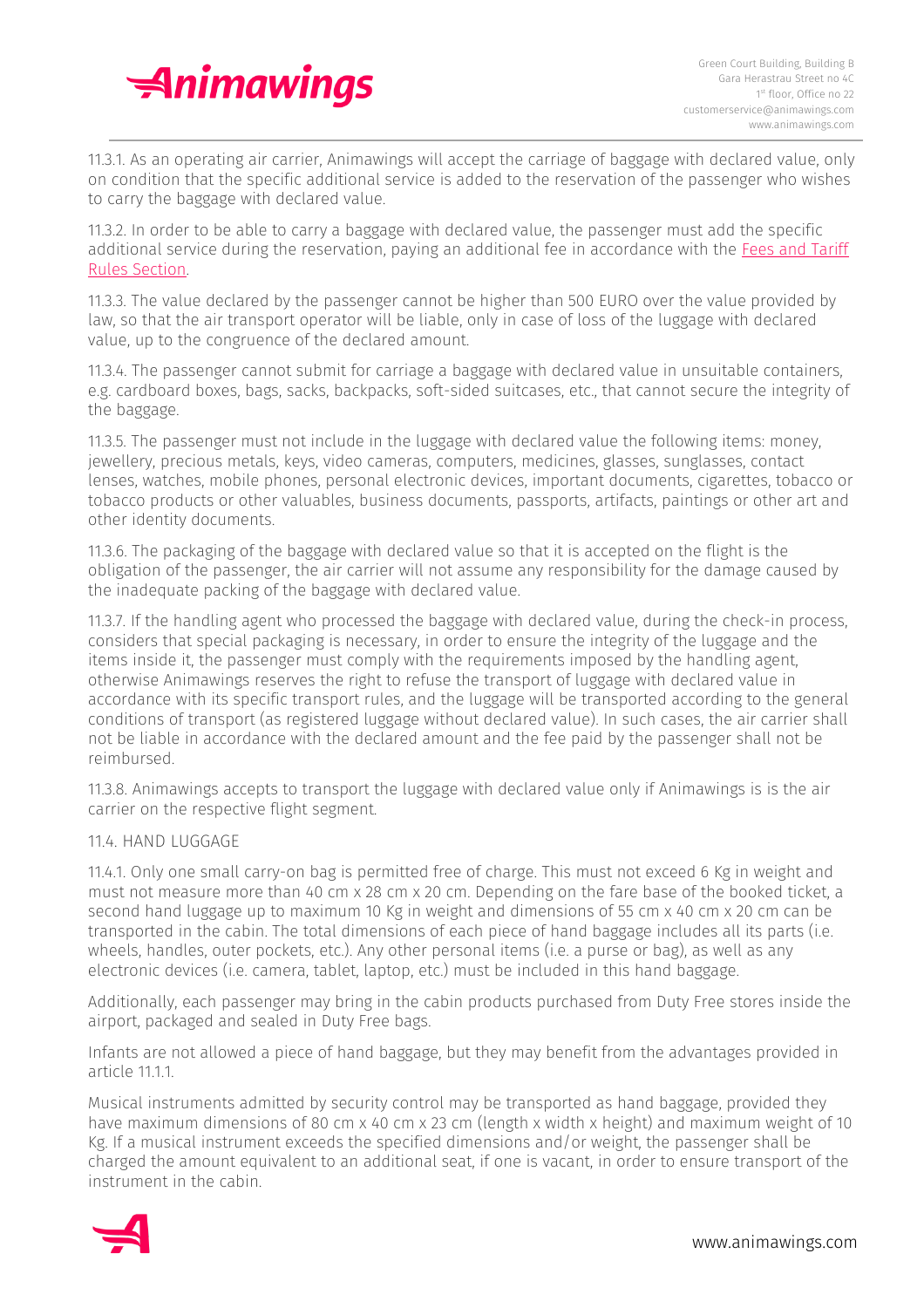

11.3.1. As an operating air carrier, Animawings will accept the carriage of baggage with declared value, only on condition that the specific additional service is added to the reservation of the passenger who wishes to carry the baggage with declared value.

11.3.2. In order to be able to carry a baggage with declared value, the passenger must add the specific additional service during the reservation, paying an additional fee in accordance with the Fees and [Tariff](https://animawings.com/en/taxes-and-tariffs) Rules [Section.](https://animawings.com/en/taxes-and-tariffs)

11.3.3. The value declared by the passenger cannot be higher than 500 EURO over the value provided by law, so that the air transport operator will be liable, only in case of loss of the luggage with declared value, up to the congruence of the declared amount.

11.3.4. The passenger cannot submit for carriage a baggage with declared value in unsuitable containers, e.g. cardboard boxes, bags, sacks, backpacks, soft-sided suitcases, etc., that cannot secure the integrity of the baggage.

11.3.5. The passenger must not include in the luggage with declared value the following items: money, jewellery, precious metals, keys, video cameras, computers, medicines, glasses, sunglasses, contact lenses, watches, mobile phones, personal electronic devices, important documents, cigarettes, tobacco or tobacco products or other valuables, business documents, passports, artifacts, paintings or other art and other identity documents.

11.3.6. The packaging of the baggage with declared value so that it is accepted on the flight is the obligation of the passenger, the air carrier will not assume any responsibility for the damage caused by the inadequate packing of the baggage with declared value.

11.3.7. If the handling agent who processed the baggage with declared value, during the check-in process, considers that special packaging is necessary, in order to ensure the integrity of the luggage and the items inside it, the passenger must comply with the requirements imposed by the handling agent, otherwise Animawings reserves the right to refuse the transport of luggage with declared value in accordance with its specific transport rules, and the luggage will be transported according to the general conditions of transport (as registered luggage without declared value). In such cases, the air carrier shall not be liable in accordance with the declared amount and the fee paid by the passenger shall not be reimbursed.

11.3.8. Animawings accepts to transport the luggage with declared value only if Animawings is is the air carrier on the respective flight segment.

#### 11.4. HAND LUGGAGE

11.4.1. Only one small carry-on bag is permitted free of charge. This must not exceed 6 Kg in weight and must not measure more than 40 cm x 28 cm x 20 cm. Depending on the fare base of the booked ticket, a second hand luggage up to maximum 10 Kg in weight and dimensions of 55 cm x 40 cm x 20 cm can be transported in the cabin. The total dimensions of each piece of hand baggage includes all its parts (i.e. wheels, handles, outer pockets, etc.). Any other personal items (i.e. a purse or bag), as well as any electronic devices (i.e. camera, tablet, laptop, etc.) must be included in this hand baggage.

Additionally, each passenger may bring in the cabin products purchased from Duty Free stores inside the airport, packaged and sealed in Duty Free bags.

Infants are not allowed a piece of hand baggage, but they may benefit from the advantages provided in article 11.1.1.

Musical instruments admitted by security control may be transported as hand baggage, provided they have maximum dimensions of 80 cm x 40 cm x 23 cm (length x width x height) and maximum weight of 10 Kg. If a musical instrument exceeds the specified dimensions and/or weight, the passenger shall be charged the amount equivalent to an additional seat, if one is vacant, in order to ensure transport of the instrument in the cabin.

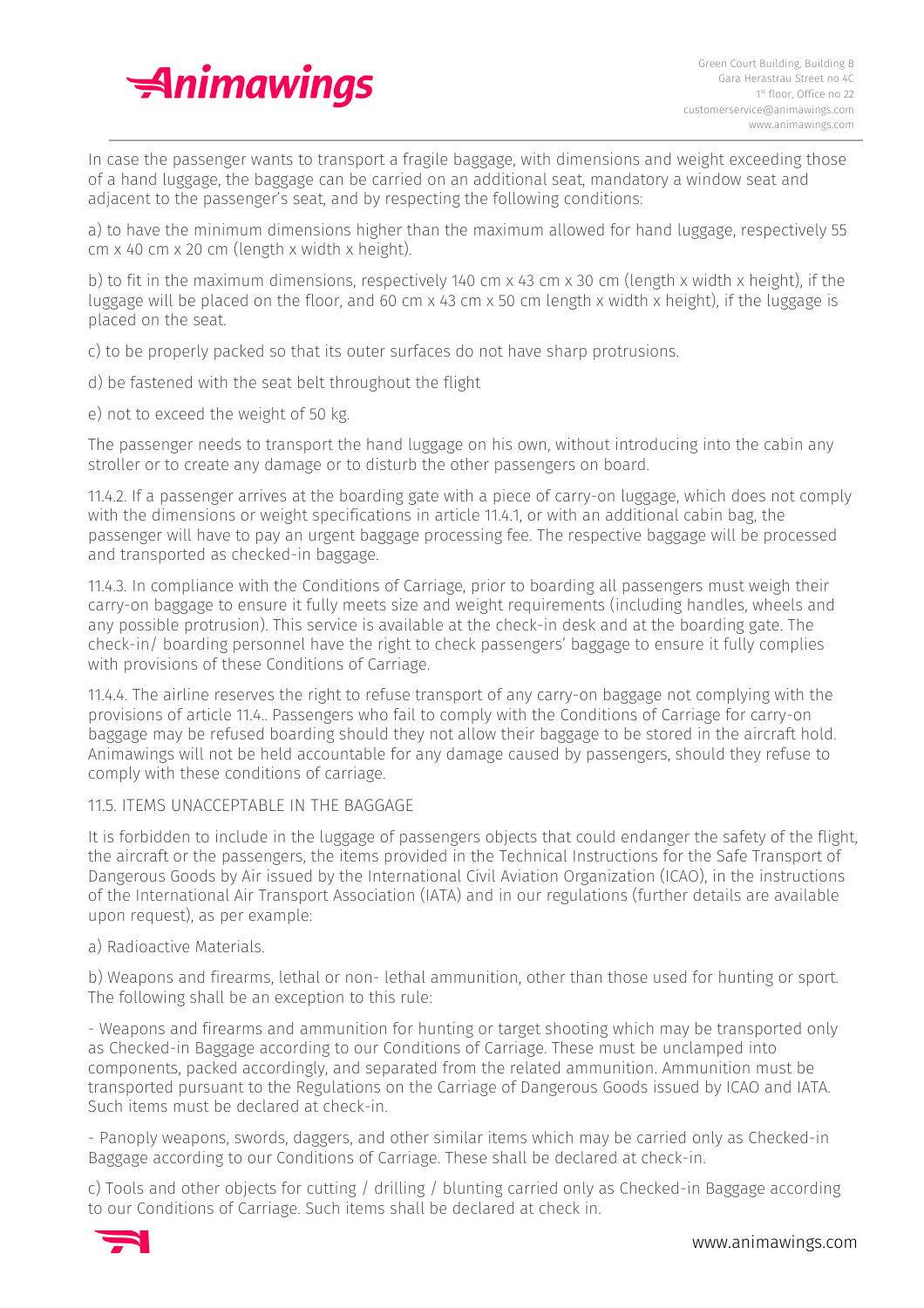

In case the passenger wants to transport a fragile baggage, with dimensions and weight exceeding those of a hand luggage, the baggage can be carried on an additional seat, mandatory a window seat and adjacent to the passenger's seat, and by respecting the following conditions:

a) to have the minimum dimensions higher than the maximum allowed for hand luggage, respectively 55 cm x 40 cm x 20 cm (length x width x height).

b) to fit in the maximum dimensions, respectively 140 cm x 43 cm x 30 cm (length x width x height), if the luggage will be placed on the floor, and 60 cm x 43 cm x 50 cm length x width x height), if the luggage is placed on the seat.

c) to be properly packed so that its outer surfaces do not have sharp protrusions.

- d) be fastened with the seat belt throughout the flight
- e) not to exceed the weight of 50 kg.

The passenger needs to transport the hand luggage on his own, without introducing into the cabin any stroller or to create any damage or to disturb the other passengers on board.

11.4.2. If a passenger arrives at the boarding gate with a piece of carry-on luggage, which does not comply with the dimensions or weight specifications in article 11.4.1, or with an additional cabin bag, the passenger will have to pay an urgent baggage processing fee. The respective baggage will be processed and transported as checked-in baggage.

11.4.3. In compliance with the Conditions of Carriage, prior to boarding all passengers must weigh their carry-on baggage to ensure it fully meets size and weight requirements (including handles, wheels and any possible protrusion). This service is available at the check-in desk and at the boarding gate. The check-in/ boarding personnel have the right to check passengers' baggage to ensure it fully complies with provisions of these Conditions of Carriage.

11.4.4. The airline reserves the right to refuse transport of any carry-on baggage not complying with the provisions of article 11.4.. Passengers who fail to comply with the Conditions of Carriage for carry-on baggage may be refused boarding should they not allow their baggage to be stored in the aircraft hold. Animawings will not be held accountable for any damage caused by passengers, should they refuse to comply with these conditions of carriage.

# 11.5. ITEMS UNACCEPTABLE IN THE BAGGAGE

It is forbidden to include in the luggage of passengers objects that could endanger the safety of the flight, the aircraft or the passengers, the items provided in the Technical Instructions for the Safe Transport of Dangerous Goods by Air issued by the International Civil Aviation Organization (ICAO), in the instructions of the International Air Transport Association (IATA) and in our regulations (further details are available upon request), as per example:

#### a) Radioactive Materials.

b) Weapons and firearms, lethal or non- lethal ammunition, other than those used for hunting or sport. The following shall be an exception to this rule:

- Weapons and firearms and ammunition for hunting or target shooting which may be transported only as Checked-in Baggage according to our Conditions of Carriage. These must be unclamped into components, packed accordingly, and separated from the related ammunition. Ammunition must be transported pursuant to the Regulations on the Carriage of Dangerous Goods issued by ICAO and IATA. Such items must be declared at check-in.

- Panoply weapons, swords, daggers, and other similar items which may be carried only as Checked-in Baggage according to our Conditions of Carriage. These shall be declared at check-in.

c) Tools and other objects for cutting / drilling / blunting carried only as Checked-in Baggage according to our Conditions of Carriage. Such items shall be declared at check in.

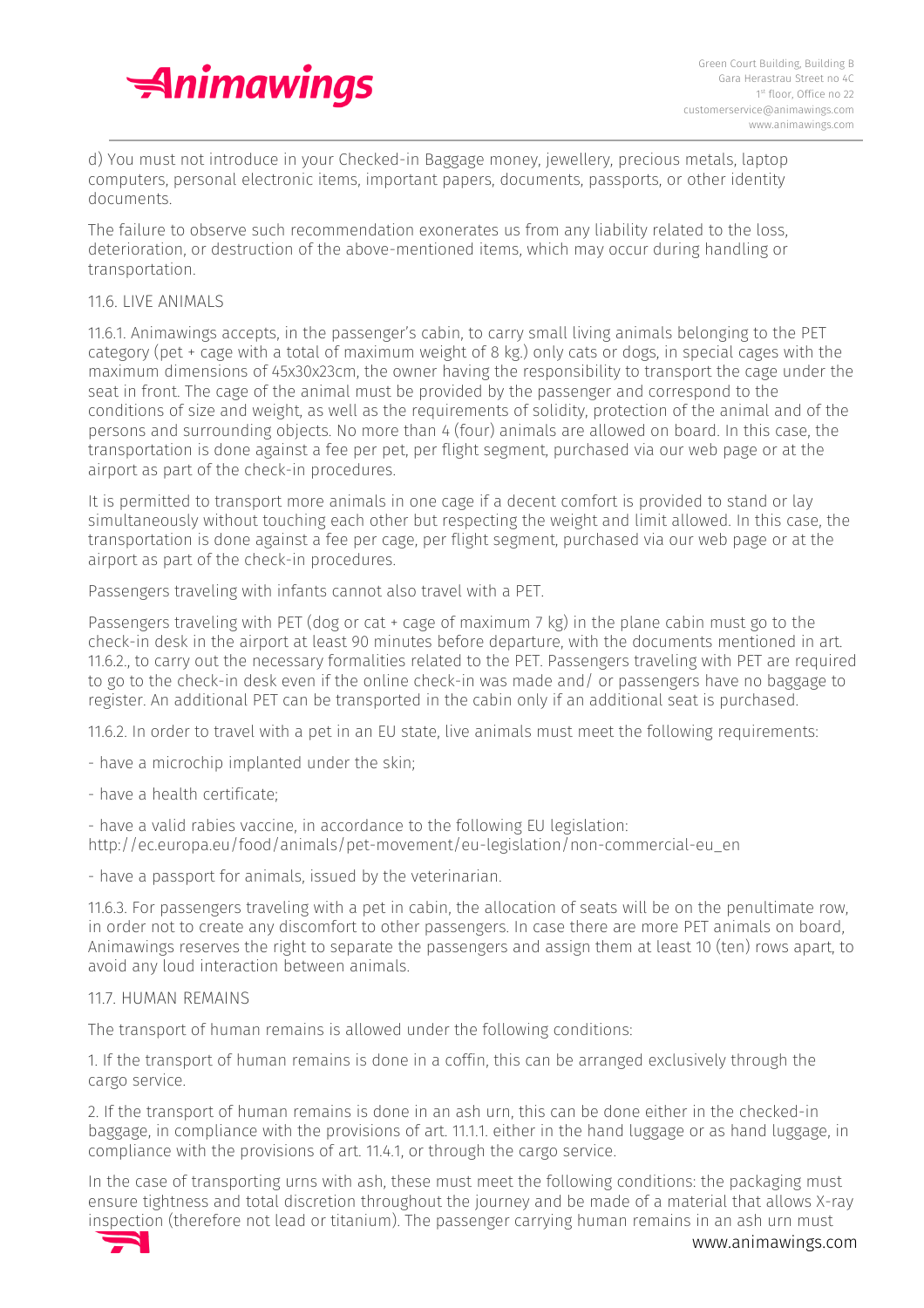

d) You must not introduce in your Checked-in Baggage money, jewellery, precious metals, laptop computers, personal electronic items, important papers, documents, passports, or other identity documents.

The failure to observe such recommendation exonerates us from any liability related to the loss, deterioration, or destruction of the above-mentioned items, which may occur during handling or transportation.

#### 11.6. LIVE ANIMALS

11.6.1. Animawings accepts, in the passenger's cabin, to carry small living animals belonging to the PET category (pet + cage with a total of maximum weight of 8 kg.) only cats or dogs, in special cages with the maximum dimensions of 45x30x23cm, the owner having the responsibility to transport the cage under the seat in front. The cage of the animal must be provided by the passenger and correspond to the conditions of size and weight, as well as the requirements of solidity, protection of the animal and of the persons and surrounding objects. No more than 4 (four) animals are allowed on board. In this case, the transportation is done against a fee per pet, per flight segment, purchased via our web page or at the airport as part of the check-in procedures.

It is permitted to transport more animals in one cage if a decent comfort is provided to stand or lay simultaneously without touching each other but respecting the weight and limit allowed. In this case, the transportation is done against a fee per cage, per flight segment, purchased via our web page or at the airport as part of the check-in procedures.

Passengers traveling with infants cannot also travel with a PET.

Passengers traveling with PET (dog or cat  $+$  cage of maximum 7 kg) in the plane cabin must go to the check-in desk in the airport at least 90 minutes before departure, with the documents mentioned in art. 11.6.2., to carry out the necessary formalities related to the PET. Passengers traveling with PET are required to go to the check-in desk even if the online check-in was made and/ or passengers have no baggage to register. An additional PET can be transported in the cabin only if an additional seat is purchased.

11.6.2. In order to travel with a pet in an EU state, live animals must meet the following requirements:

- have a microchip implanted under the skin;

- have a health certificate;

- have a valid rabies vaccine, in accordance to the following EU legislation: http://ec.europa.eu/food/animals/pet-movement/eu-legislation/non-commercial-eu\_en

- have a passport for animals, issued by the veterinarian.

11.6.3. For passengers traveling with a pet in cabin, the allocation of seats will be on the penultimate row, in order not to create any discomfort to other passengers. In case there are more PET animals on board, Animawings reserves the right to separate the passengers and assign them at least 10 (ten) rows apart, to avoid any loud interaction between animals.

#### 11.7. HUMAN REMAINS

The transport of human remains is allowed under the following conditions:

1. If the transport of human remains is done in a coffin, this can be arranged exclusively through the cargo service.

2. If the transport of human remains is done in an ash urn, this can be done either in the checked-in baggage, in compliance with the provisions of art. 11.1.1. either in the hand luggage or as hand luggage, in compliance with the provisions of art. 11.4.1, or through the cargo service.

In the case of transporting urns with ash, these must meet the following conditions: the packaging must ensure tightness and total discretion throughout the journey and be made of a material that allows X-ray inspection (therefore not lead or titanium). The passenger carrying human remains in an ash urn must

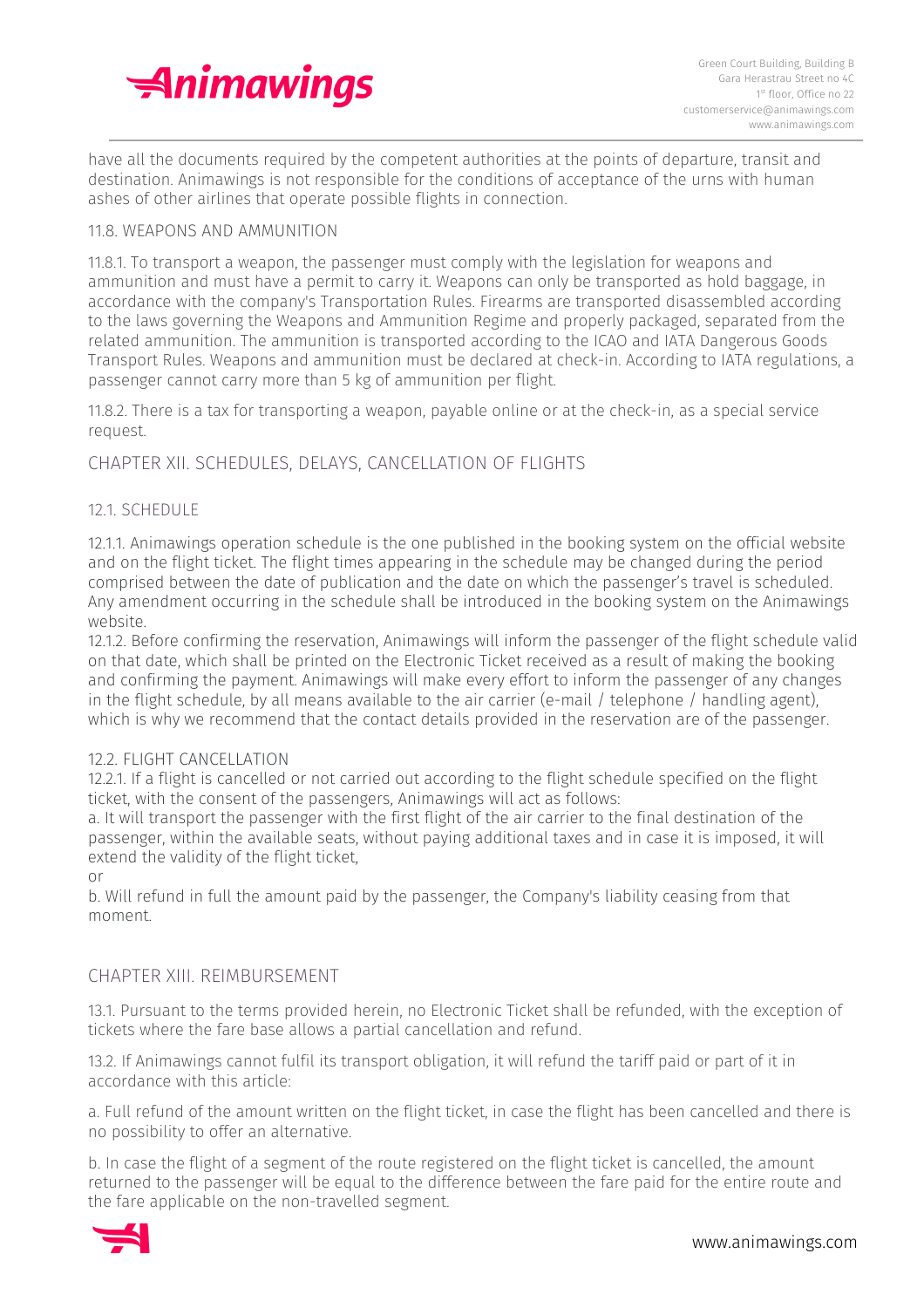

have all the documents required by the competent authorities at the points of departure, transit and destination. Animawings is not responsible for the conditions of acceptance of the urns with human ashes of other airlines that operate possible flights in connection.

## 11.8. WEAPONS AND AMMUNITION

11.8.1. To transport a weapon, the passenger must comply with the legislation for weapons and ammunition and must have a permit to carry it. Weapons can only be transported as hold baggage, in accordance with the company's Transportation Rules. Firearms are transported disassembled according to the laws governing the Weapons and Ammunition Regime and properly packaged, separated from the related ammunition. The ammunition is transported according to the ICAO and IATA Dangerous Goods Transport Rules. Weapons and ammunition must be declared at check-in. According to IATA regulations, a passenger cannot carry more than 5 kg of ammunition per flight.

11.8.2. There is a tax for transporting a weapon, payable online or at the check-in, as a special service request.

# CHAPTER XII. SCHEDULES, DELAYS, CANCELLATION OF FLIGHTS

## 12.1. SCHEDULE

12.1.1. Animawings operation schedule is the one published in the booking system on the official website and on the flight ticket. The flight times appearing in the schedule may be changed during the period comprised between the date of publication and the date on which the passenger's travel is scheduled. Any amendment occurring in the schedule shall be introduced in the booking system on the Animawings website.

12.1.2. Before confirming the reservation, Animawings will inform the passenger of the flight schedule valid on that date, which shall be printed on the Electronic Ticket received as a result of making the booking and confirming the payment. Animawings will make every effort to inform the passenger of any changes in the flight schedule, by all means available to the air carrier (e-mail / telephone / handling agent), which is why we recommend that the contact details provided in the reservation are of the passenger.

#### 12.2. FLIGHT CANCELLATION

12.2.1. If a flight is cancelled or not carried out according to the flight schedule specified on the flight ticket, with the consent of the passengers, Animawings will act as follows:

a. It will transport the passenger with the first flight of the air carrier to the final destination of the passenger, within the available seats, without paying additional taxes and in case it is imposed, it will extend the validity of the flight ticket,

or

b. Will refund in full the amount paid by the passenger, the Company's liability ceasing from that moment.

#### CHAPTER XIII. REIMBURSEMENT

13.1. Pursuant to the terms provided herein, no Electronic Ticket shall be refunded, with the exception of tickets where the fare base allows a partial cancellation and refund.

13.2. If Animawings cannot fulfil its transport obligation, it will refund the tariff paid or part of it in accordance with this article:

a. Full refund of the amount written on the flight ticket, in case the flight has been cancelled and there is no possibility to offer an alternative.

b. In case the flight of a segment of the route registered on the flight ticket is cancelled, the amount returned to the passenger will be equal to the difference between the fare paid for the entire route and the fare applicable on the non-travelled segment.

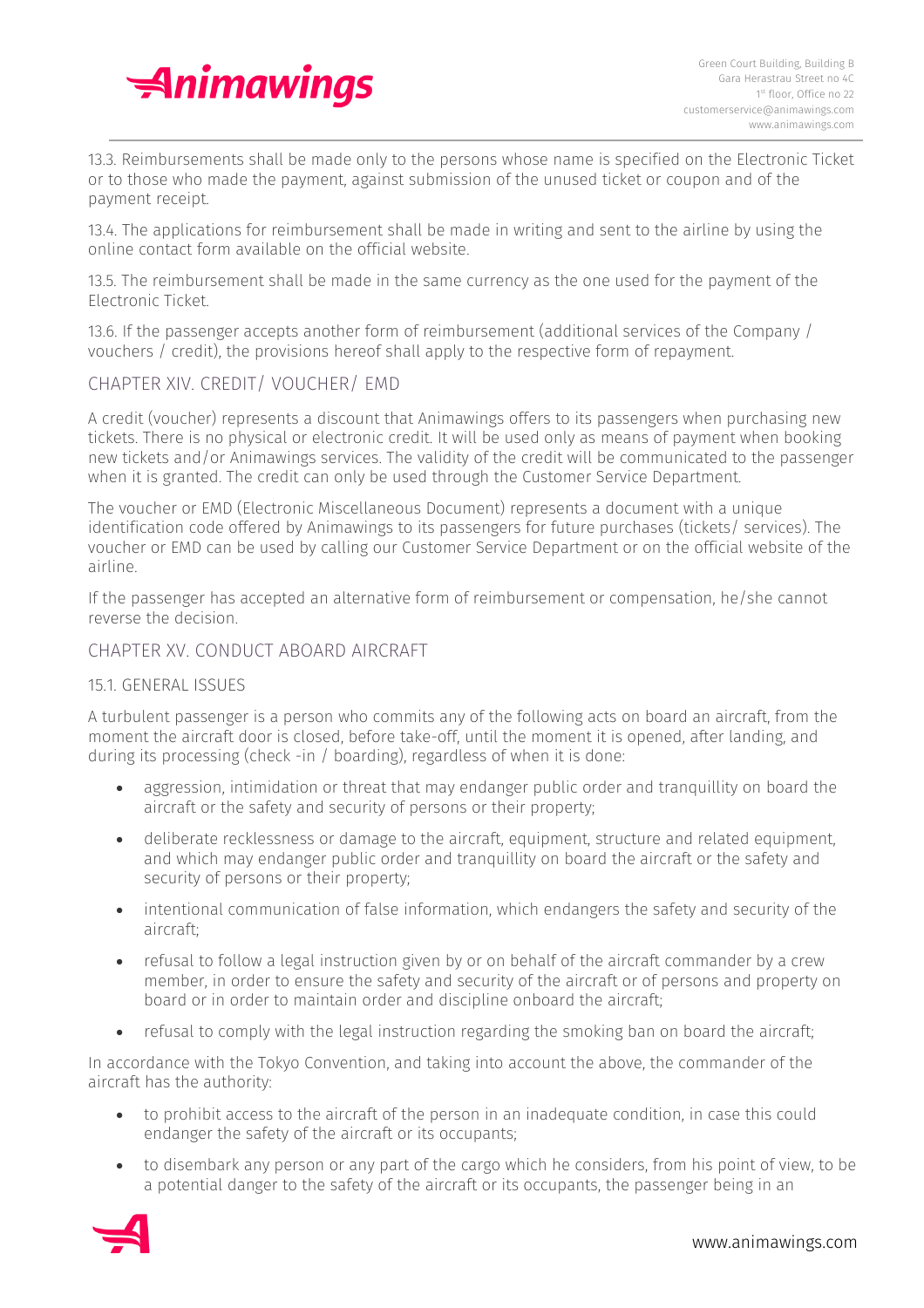

13.3. Reimbursements shall be made only to the persons whose name is specified on the Electronic Ticket or to those who made the payment, against submission of the unused ticket or coupon and of the payment receipt.

13.4. The applications for reimbursement shall be made in writing and sent to the airline by using the online contact form available on the official website.

13.5. The reimbursement shall be made in the same currency as the one used for the payment of the Electronic Ticket.

13.6. If the passenger accepts another form of reimbursement (additional services of the Company / vouchers / credit), the provisions hereof shall apply to the respective form of repayment.

# CHAPTER XIV. CREDIT/ VOUCHER/ EMD

A credit (voucher) represents a discount that Animawings offers to its passengers when purchasing new tickets. There is no physical or electronic credit. It will be used only as means of payment when booking new tickets and/or Animawings services. The validity of the credit will be communicated to the passenger when it is granted. The credit can only be used through the Customer Service Department.

The voucher or EMD (Electronic Miscellaneous Document) represents a document with a unique identification code offered by Animawings to its passengers for future purchases (tickets/ services). The voucher or EMD can be used by calling our Customer Service Department or on the official website of the airline.

If the passenger has accepted an alternative form of reimbursement or compensation, he/she cannot reverse the decision.

# CHAPTER XV. CONDUCT ABOARD AIRCRAFT

# 15.1. GENERAL ISSUES

A turbulent passenger is a person who commits any of the following acts on board an aircraft, from the moment the aircraft door is closed, before take-off, until the moment it is opened, after landing, and during its processing (check -in / boarding), regardless of when it is done:

- aggression, intimidation or threat that may endanger public order and tranquillity on board the aircraft or the safety and security of persons or their property;
- deliberate recklessness or damage to the aircraft, equipment, structure and related equipment, and which may endanger public order and tranquillity on board the aircraft or the safety and security of persons or their property;
- intentional communication of false information, which endangers the safety and security of the aircraft;
- refusal to follow a legal instruction given by or on behalf of the aircraft commander by a crew member, in order to ensure the safety and security of the aircraft or of persons and property on board or in order to maintain order and discipline onboard the aircraft;
- refusal to comply with the legal instruction regarding the smoking ban on board the aircraft;

In accordance with the Tokyo Convention, and taking into account the above, the commander of the aircraft has the authority:

- to prohibit access to the aircraft of the person in an inadequate condition, in case this could endanger the safety of the aircraft or its occupants;
- to disembark any person or any part of the cargo which he considers, from his point of view, to be a potential danger to the safety of the aircraft or its occupants, the passenger being in an

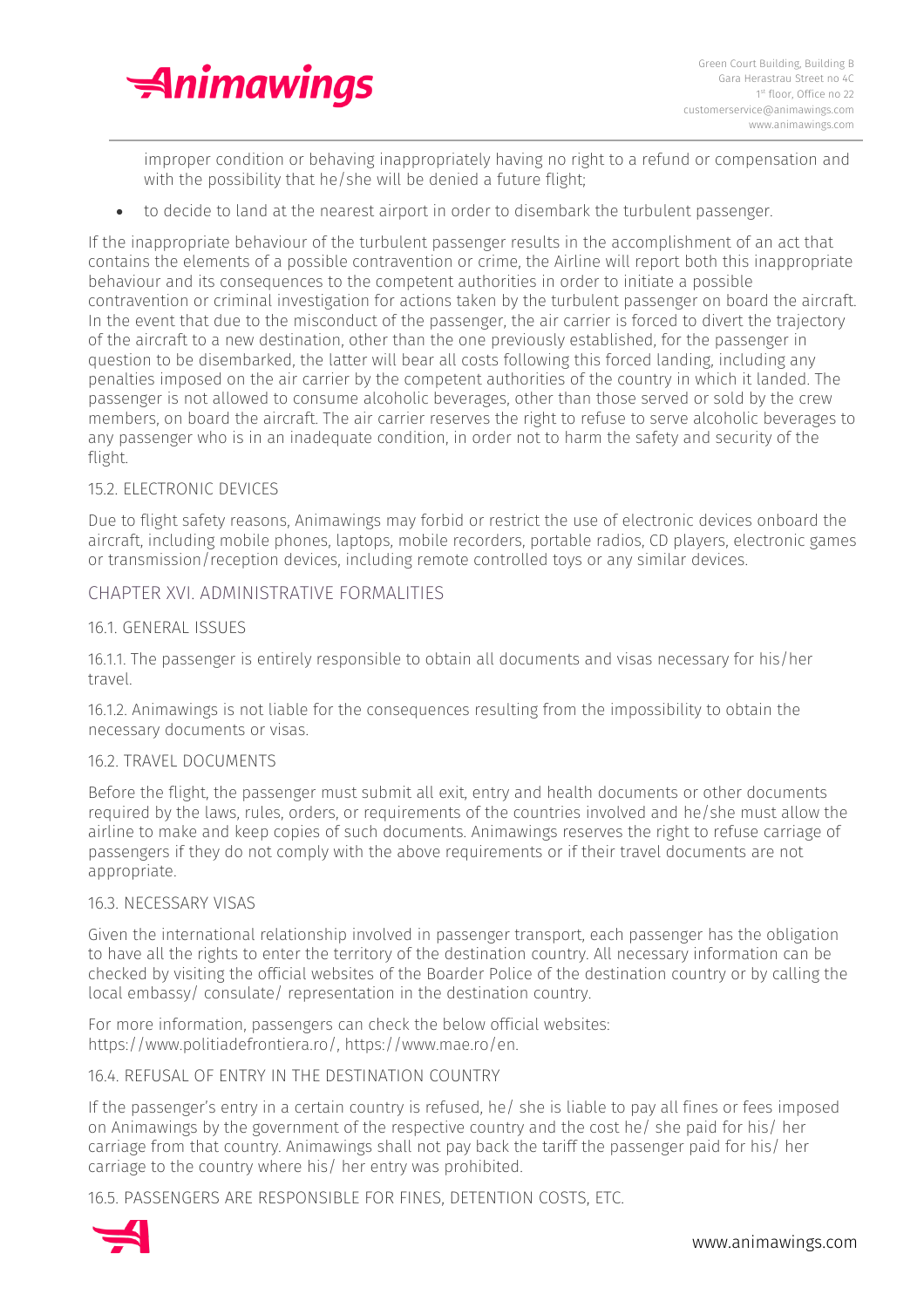

improper condition or behaving inappropriately having no right to a refund or compensation and with the possibility that he/she will be denied a future flight;

• to decide to land at the nearest airport in order to disembark the turbulent passenger.

If the inappropriate behaviour of the turbulent passenger results in the accomplishment of an act that contains the elements of a possible contravention or crime, the Airline will report both this inappropriate behaviour and its consequences to the competent authorities in order to initiate a possible contravention or criminal investigation for actions taken by the turbulent passenger on board the aircraft. In the event that due to the misconduct of the passenger, the air carrier is forced to divert the trajectory of the aircraft to a new destination, other than the one previously established, for the passenger in question to be disembarked, the latter will bear all costs following this forced landing, including any penalties imposed on the air carrier by the competent authorities of the country in which it landed. The passenger is not allowed to consume alcoholic beverages, other than those served or sold by the crew members, on board the aircraft. The air carrier reserves the right to refuse to serve alcoholic beverages to any passenger who is in an inadequate condition, in order not to harm the safety and security of the flight.

## 15.2. ELECTRONIC DEVICES

Due to flight safety reasons, Animawings may forbid or restrict the use of electronic devices onboard the aircraft, including mobile phones, laptops, mobile recorders, portable radios, CD players, electronic games or transmission/reception devices, including remote controlled toys or any similar devices.

## CHAPTER XVI. ADMINISTRATIVE FORMALITIES

#### 16.1. GENERAL ISSUES

16.1.1. The passenger is entirely responsible to obtain all documents and visas necessary for his/her travel.

16.1.2. Animawings is not liable for the consequences resulting from the impossibility to obtain the necessary documents or visas.

#### 16.2. TRAVEL DOCUMENTS

Before the flight, the passenger must submit all exit, entry and health documents or other documents required by the laws, rules, orders, or requirements of the countries involved and he/she must allow the airline to make and keep copies of such documents. Animawings reserves the right to refuse carriage of passengers if they do not comply with the above requirements or if their travel documents are not appropriate.

#### 16.3. NECESSARY VISAS

Given the international relationship involved in passenger transport, each passenger has the obligation to have all the rights to enter the territory of the destination country. All necessary information can be checked by visiting the official websites of the Boarder Police of the destination country or by calling the local embassy/ consulate/ representation in the destination country.

For more information, passengers can check the below official websites: https://www.politiadefrontiera.ro/, https://www.mae.ro/en.

#### 16.4. REFUSAL OF ENTRY IN THE DESTINATION COUNTRY

If the passenger's entry in a certain country is refused, he/ she is liable to pay all fines or fees imposed on Animawings by the government of the respective country and the cost he/ she paid for his/ her carriage from that country. Animawings shall not pay back the tariff the passenger paid for his/ her carriage to the country where his/ her entry was prohibited.

16.5. PASSENGERS ARE RESPONSIBLE FOR FINES, DETENTION COSTS, ETC.

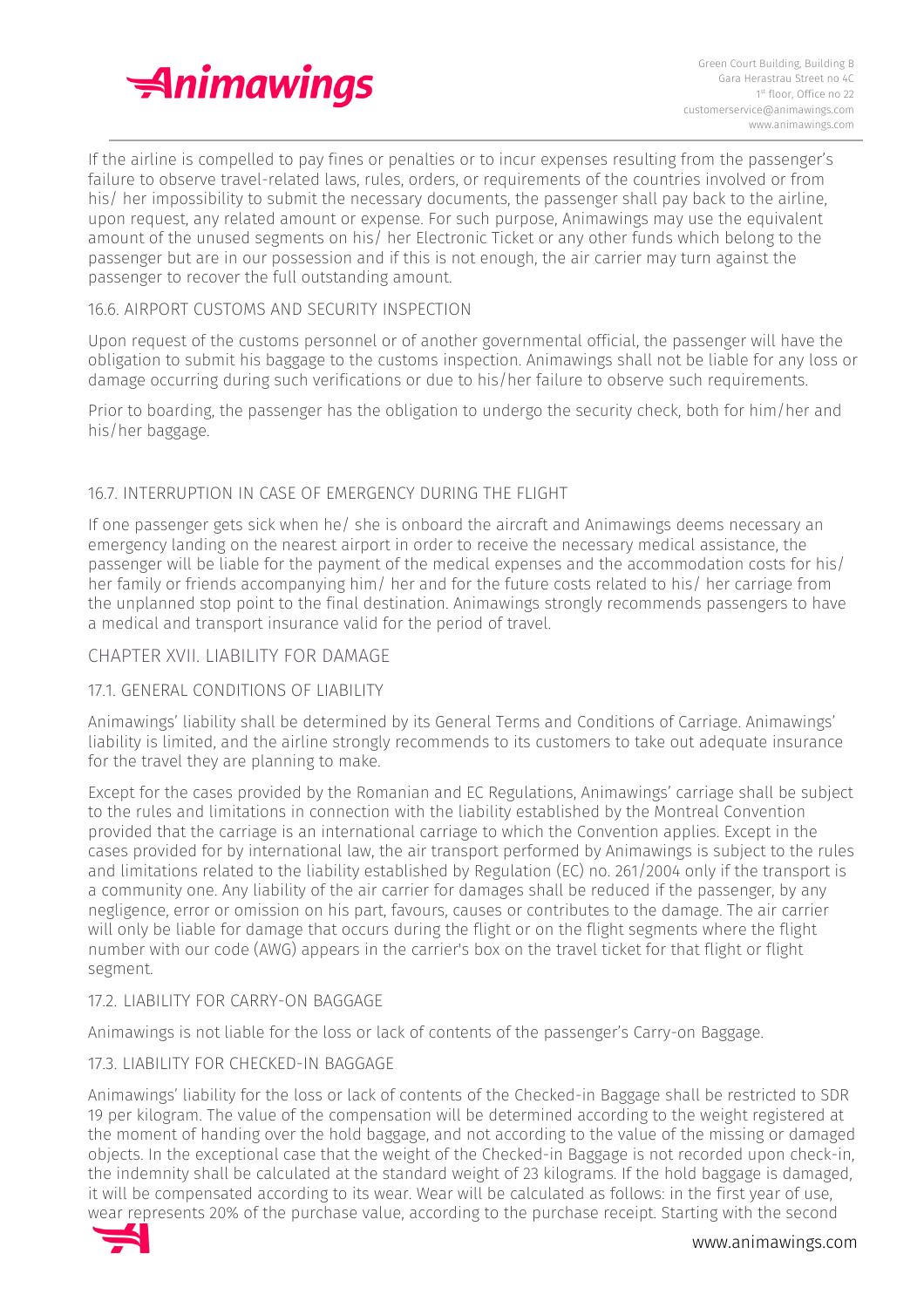

If the airline is compelled to pay fines or penalties or to incur expenses resulting from the passenger's failure to observe travel-related laws, rules, orders, or requirements of the countries involved or from his/ her impossibility to submit the necessary documents, the passenger shall pay back to the airline, upon request, any related amount or expense. For such purpose, Animawings may use the equivalent amount of the unused segments on his/ her Electronic Ticket or any other funds which belong to the passenger but are in our possession and if this is not enough, the air carrier may turn against the passenger to recover the full outstanding amount.

# 16.6. AIRPORT CUSTOMS AND SECURITY INSPECTION

Upon request of the customs personnel or of another governmental official, the passenger will have the obligation to submit his baggage to the customs inspection. Animawings shall not be liable for any loss or damage occurring during such verifications or due to his/her failure to observe such requirements.

Prior to boarding, the passenger has the obligation to undergo the security check, both for him/her and his/her baggage.

## 16.7. INTERRUPTION IN CASE OF EMERGENCY DURING THE FLIGHT

If one passenger gets sick when he/ she is onboard the aircraft and Animawings deems necessary an emergency landing on the nearest airport in order to receive the necessary medical assistance, the passenger will be liable for the payment of the medical expenses and the accommodation costs for his/ her family or friends accompanying him/ her and for the future costs related to his/ her carriage from the unplanned stop point to the final destination. Animawings strongly recommends passengers to have a medical and transport insurance valid for the period of travel.

#### CHAPTER XVII. LIABILITY FOR DAMAGE

# 17.1. GENERAL CONDITIONS OF LIABILITY

Animawings' liability shall be determined by its General Terms and Conditions of Carriage. Animawings' liability is limited, and the airline strongly recommends to its customers to take out adequate insurance for the travel they are planning to make.

Except for the cases provided by the Romanian and EC Regulations, Animawings' carriage shall be subject to the rules and limitations in connection with the liability established by the Montreal Convention provided that the carriage is an international carriage to which the Convention applies. Except in the cases provided for by international law, the air transport performed by Animawings is subject to the rules and limitations related to the liability established by Regulation (EC) no. 261/2004 only if the transport is a community one. Any liability of the air carrier for damages shall be reduced if the passenger, by any negligence, error or omission on his part, favours, causes or contributes to the damage. The air carrier will only be liable for damage that occurs during the flight or on the flight segments where the flight number with our code (AWG) appears in the carrier's box on the travel ticket for that flight or flight segment.

#### 17.2. LIABILITY FOR CARRY-ON BAGGAGE

Animawings is not liable for the loss or lack of contents of the passenger's Carry-on Baggage.

# 17.3. LIABILITY FOR CHECKED-IN BAGGAGE

Animawings' liability for the loss or lack of contents of the Checked-in Baggage shall be restricted to SDR 19 per kilogram. The value of the compensation will be determined according to the weight registered at the moment of handing over the hold baggage, and not according to the value of the missing or damaged objects. In the exceptional case that the weight of the Checked-in Baggage is not recorded upon check-in, the indemnity shall be calculated at the standard weight of 23 kilograms. If the hold baggage is damaged, it will be compensated according to its wear. Wear will be calculated as follows: in the first year of use, wear represents 20% of the purchase value, according to the purchase receipt. Starting with the second

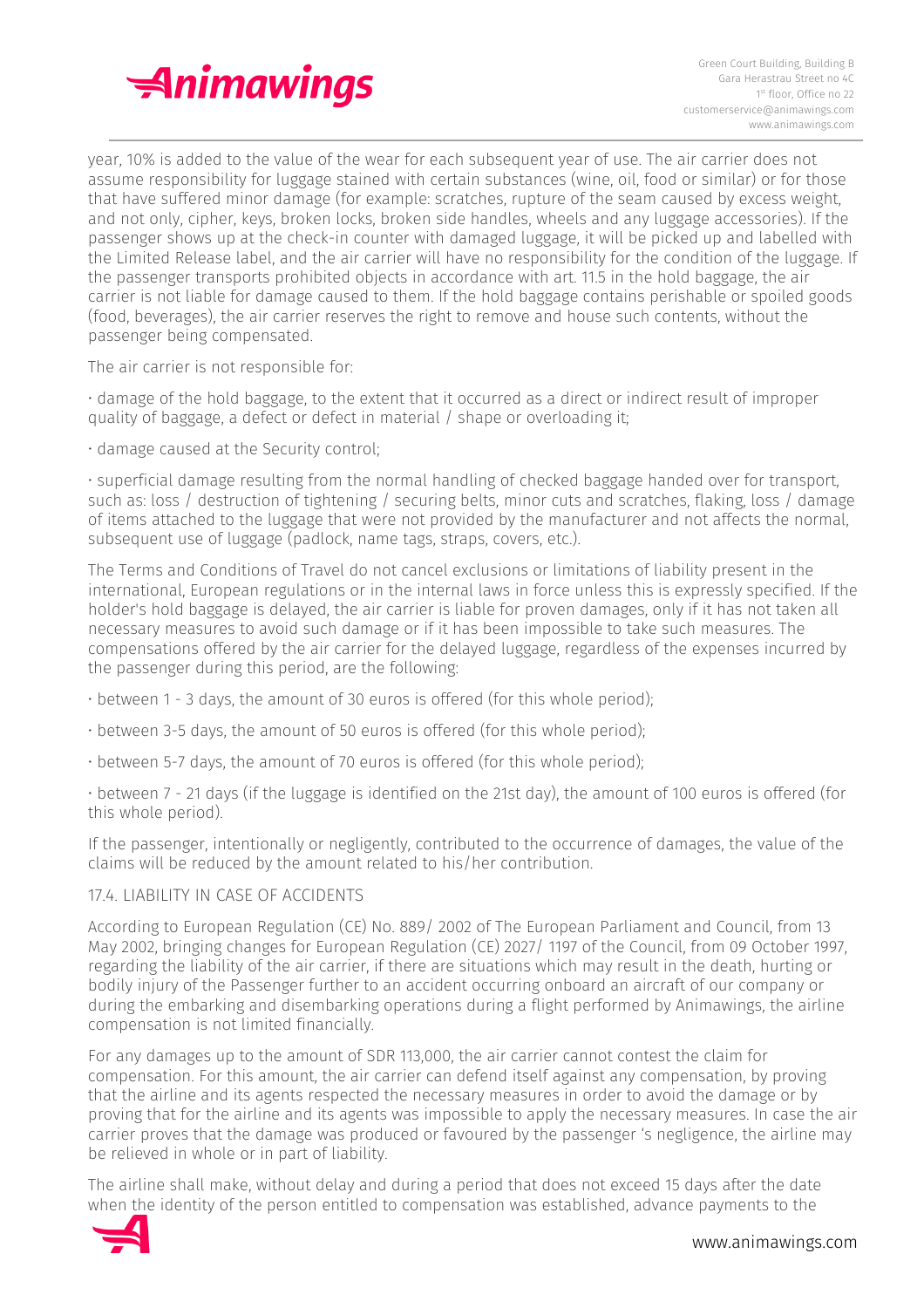

year, 10% is added to the value of the wear for each subsequent year of use. The air carrier does not assume responsibility for luggage stained with certain substances (wine, oil, food or similar) or for those that have suffered minor damage (for example: scratches, rupture of the seam caused by excess weight, and not only, cipher, keys, broken locks, broken side handles, wheels and any luggage accessories). If the passenger shows up at the check-in counter with damaged luggage, it will be picked up and labelled with the Limited Release label, and the air carrier will have no responsibility for the condition of the luggage. If the passenger transports prohibited objects in accordance with art. 11.5 in the hold baggage, the air carrier is not liable for damage caused to them. If the hold baggage contains perishable or spoiled goods (food, beverages), the air carrier reserves the right to remove and house such contents, without the passenger being compensated.

The air carrier is not responsible for:

• damage of the hold baggage, to the extent that it occurred as a direct or indirect result of improper quality of baggage, a defect or defect in material / shape or overloading it;

• damage caused at the Security control;

• superficial damage resulting from the normal handling of checked baggage handed over for transport, such as: loss / destruction of tightening / securing belts, minor cuts and scratches, flaking, loss / damage of items attached to the luggage that were not provided by the manufacturer and not affects the normal, subsequent use of luggage (padlock, name tags, straps, covers, etc.).

The Terms and Conditions of Travel do not cancel exclusions or limitations of liability present in the international, European regulations or in the internal laws in force unless this is expressly specified. If the holder's hold baggage is delayed, the air carrier is liable for proven damages, only if it has not taken all necessary measures to avoid such damage or if it has been impossible to take such measures. The compensations offered by the air carrier for the delayed luggage, regardless of the expenses incurred by the passenger during this period, are the following:

- between 1 3 days, the amount of 30 euros is offered (for this whole period);
- between 3-5 days, the amount of 50 euros is offered (for this whole period);
- between 5-7 days, the amount of 70 euros is offered (for this whole period);

• between 7 - 21 days (if the luggage is identified on the 21st day), the amount of 100 euros is offered (for this whole period).

If the passenger, intentionally or negligently, contributed to the occurrence of damages, the value of the claims will be reduced by the amount related to his/her contribution.

# 17.4. LIABILITY IN CASE OF ACCIDENTS

According to European Regulation (CE) No. 889/ 2002 of The European Parliament and Council, from 13 May 2002, bringing changes for European Regulation (CE) 2027/ 1197 of the Council, from 09 October 1997, regarding the liability of the air carrier, if there are situations which may result in the death, hurting or bodily injury of the Passenger further to an accident occurring onboard an aircraft of our company or during the embarking and disembarking operations during a flight performed by Animawings, the airline compensation is not limited financially.

For any damages up to the amount of SDR 113,000, the air carrier cannot contest the claim for compensation. For this amount, the air carrier can defend itself against any compensation, by proving that the airline and its agents respected the necessary measures in order to avoid the damage or by proving that for the airline and its agents was impossible to apply the necessary measures. In case the air carrier proves that the damage was produced or favoured by the passenger 's negligence, the airline may be relieved in whole or in part of liability.

The airline shall make, without delay and during a period that does not exceed 15 days after the date when the identity of the person entitled to compensation was established, advance payments to the

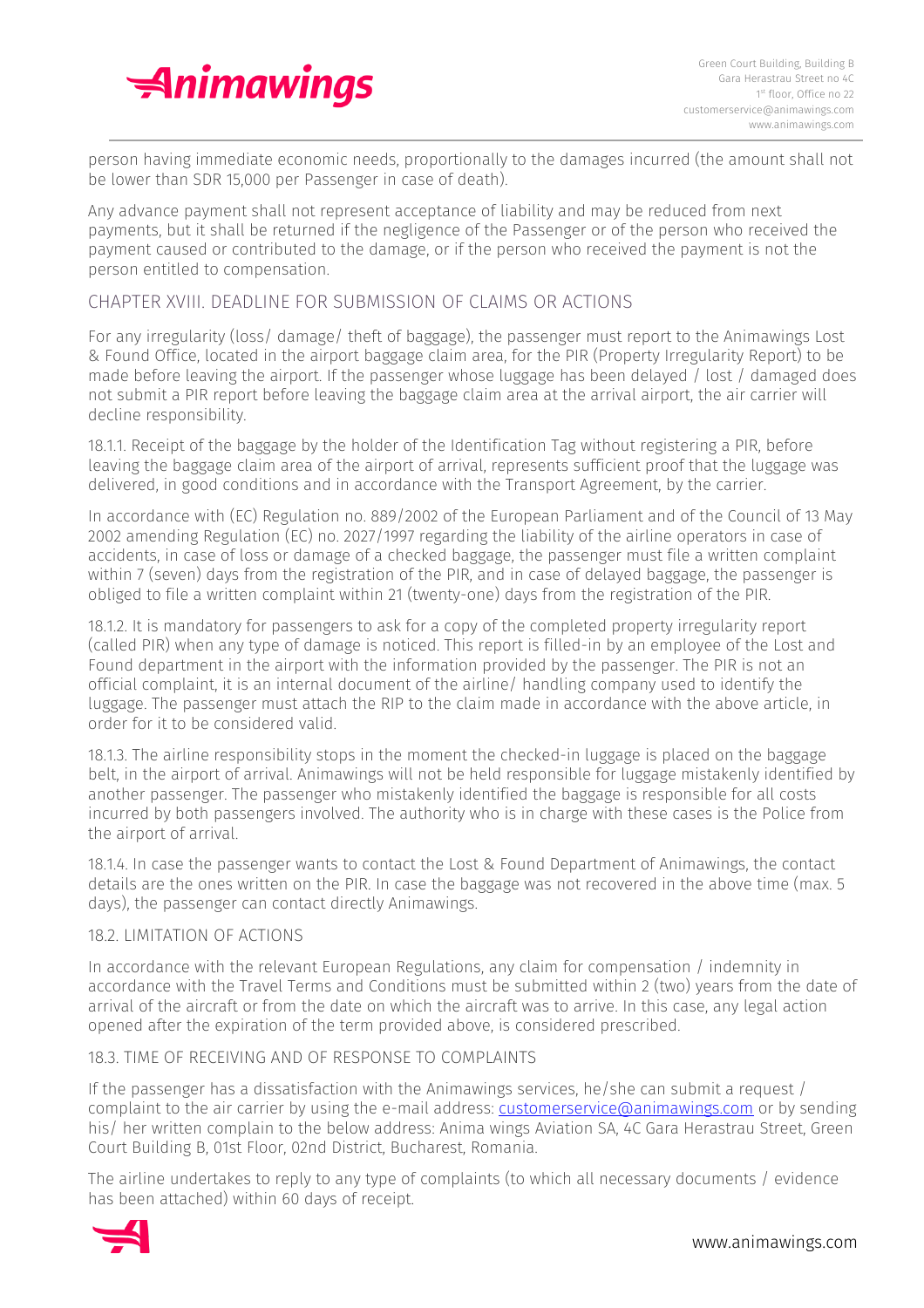

person having immediate economic needs, proportionally to the damages incurred (the amount shall not be lower than SDR 15,000 per Passenger in case of death).

Any advance payment shall not represent acceptance of liability and may be reduced from next payments, but it shall be returned if the negligence of the Passenger or of the person who received the payment caused or contributed to the damage, or if the person who received the payment is not the person entitled to compensation.

## CHAPTER XVIII. DEADLINE FOR SUBMISSION OF CLAIMS OR ACTIONS

For any irregularity (loss/ damage/ theft of baggage), the passenger must report to the Animawings Lost & Found Office, located in the airport baggage claim area, for the PIR (Property Irregularity Report) to be made before leaving the airport. If the passenger whose luggage has been delayed / lost / damaged does not submit a PIR report before leaving the baggage claim area at the arrival airport, the air carrier will decline responsibility.

18.1.1. Receipt of the baggage by the holder of the Identification Tag without registering a PIR, before leaving the baggage claim area of the airport of arrival, represents sufficient proof that the luggage was delivered, in good conditions and in accordance with the Transport Agreement, by the carrier.

In accordance with (EC) Regulation no. 889/2002 of the European Parliament and of the Council of 13 May 2002 amending Regulation (EC) no. 2027/1997 regarding the liability of the airline operators in case of accidents, in case of loss or damage of a checked baggage, the passenger must file a written complaint within 7 (seven) days from the registration of the PIR, and in case of delayed baggage, the passenger is obliged to file a written complaint within 21 (twenty-one) days from the registration of the PIR.

18.1.2. It is mandatory for passengers to ask for a copy of the completed property irregularity report (called PIR) when any type of damage is noticed. This report is filled-in by an employee of the Lost and Found department in the airport with the information provided by the passenger. The PIR is not an official complaint, it is an internal document of the airline/ handling company used to identify the luggage. The passenger must attach the RIP to the claim made in accordance with the above article, in order for it to be considered valid.

18.1.3. The airline responsibility stops in the moment the checked-in luggage is placed on the baggage belt, in the airport of arrival. Animawings will not be held responsible for luggage mistakenly identified by another passenger. The passenger who mistakenly identified the baggage is responsible for all costs incurred by both passengers involved. The authority who is in charge with these cases is the Police from the airport of arrival.

18.1.4. In case the passenger wants to contact the Lost & Found Department of Animawings, the contact details are the ones written on the PIR. In case the baggage was not recovered in the above time (max. 5 days), the passenger can contact directly Animawings.

#### 18.2. LIMITATION OF ACTIONS

In accordance with the relevant European Regulations, any claim for compensation / indemnity in accordance with the Travel Terms and Conditions must be submitted within 2 (two) years from the date of arrival of the aircraft or from the date on which the aircraft was to arrive. In this case, any legal action opened after the expiration of the term provided above, is considered prescribed.

#### 18.3. TIME OF RECEIVING AND OF RESPONSE TO COMPLAINTS

If the passenger has a dissatisfaction with the Animawings services, he/she can submit a request / complaint to the air carrier by using the e-mail address: **customerservice@animawings.com** or by sending his/ her written complain to the below address: Anima wings Aviation SA, 4C Gara Herastrau Street, Green Court Building B, 01st Floor, 02nd District, Bucharest, Romania.

The airline undertakes to reply to any type of complaints (to which all necessary documents / evidence has been attached) within 60 days of receipt.